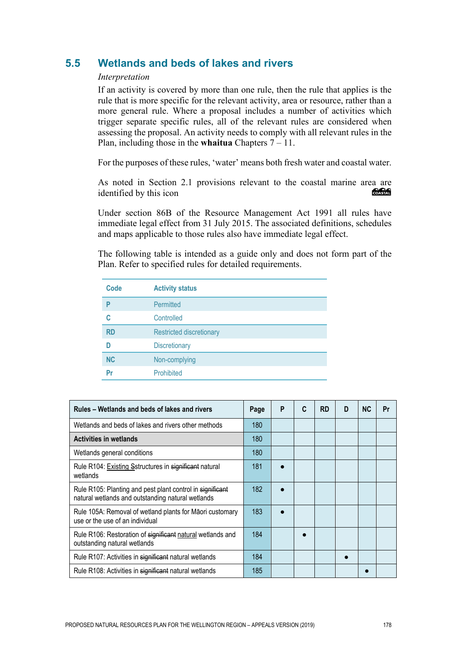# **5.5 Wetlands and beds of lakes and rivers**

#### *Interpretation*

If an activity is covered by more than one rule, then the rule that applies is the rule that is more specific for the relevant activity, area or resource, rather than a more general rule. Where a proposal includes a number of activities which trigger separate specific rules, all of the relevant rules are considered when assessing the proposal. An activity needs to comply with all relevant rules in the Plan, including those in the **whaitua** Chapters 7 – 11.

For the purposes of these rules, 'water' means both fresh water and coastal water.

As noted in Section 2.1 provisions relevant to the coastal marine area are<br>identified by this icon identified by this icon

Under section 86B of the Resource Management Act 1991 all rules have immediate legal effect from 31 July 2015. The associated definitions, schedules and maps applicable to those rules also have immediate legal effect.

The following table is intended as a guide only and does not form part of the Plan. Refer to specified rules for detailed requirements.

| Code      | <b>Activity status</b>          |
|-----------|---------------------------------|
| P         | <b>Permitted</b>                |
| C         | Controlled                      |
| <b>RD</b> | <b>Restricted discretionary</b> |
| n         | <b>Discretionary</b>            |
| <b>NC</b> | Non-complying                   |
| Pr        | Prohibited                      |

| Rules – Wetlands and beds of lakes and rivers                                                                  |     | P | C | <b>RD</b> | D | <b>NC</b> | Pr |
|----------------------------------------------------------------------------------------------------------------|-----|---|---|-----------|---|-----------|----|
| Wetlands and beds of lakes and rivers other methods                                                            |     |   |   |           |   |           |    |
| <b>Activities in wetlands</b>                                                                                  |     |   |   |           |   |           |    |
| Wetlands general conditions                                                                                    | 180 |   |   |           |   |           |    |
| Rule R104: Existing Sstructures in significant natural<br>wetlands                                             | 181 |   |   |           |   |           |    |
| Rule R105: Planting and pest plant control in significant<br>natural wetlands and outstanding natural wetlands | 182 |   |   |           |   |           |    |
| Rule 105A: Removal of wetland plants for Māori customary<br>use or the use of an individual                    | 183 |   |   |           |   |           |    |
| Rule R106: Restoration of significant natural wetlands and<br>outstanding natural wetlands                     | 184 |   |   |           |   |           |    |
| Rule R107: Activities in significant natural wetlands                                                          | 184 |   |   |           |   |           |    |
| Rule R108: Activities in significant natural wetlands                                                          |     |   |   |           |   |           |    |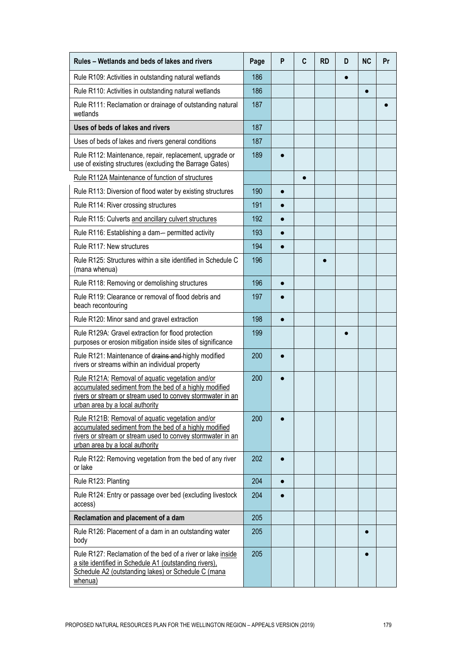| Rules - Wetlands and beds of lakes and rivers                                                                                                                                                               |     | P | $\mathbf c$ | <b>RD</b> | D | <b>NC</b> | Pr |
|-------------------------------------------------------------------------------------------------------------------------------------------------------------------------------------------------------------|-----|---|-------------|-----------|---|-----------|----|
| Rule R109: Activities in outstanding natural wetlands                                                                                                                                                       |     |   |             |           |   |           |    |
| Rule R110: Activities in outstanding natural wetlands                                                                                                                                                       |     |   |             |           |   | $\bullet$ |    |
| Rule R111: Reclamation or drainage of outstanding natural<br>wetlands                                                                                                                                       |     |   |             |           |   |           |    |
| Uses of beds of lakes and rivers                                                                                                                                                                            | 187 |   |             |           |   |           |    |
| Uses of beds of lakes and rivers general conditions                                                                                                                                                         | 187 |   |             |           |   |           |    |
| Rule R112: Maintenance, repair, replacement, upgrade or<br>use of existing structures (excluding the Barrage Gates)                                                                                         | 189 |   |             |           |   |           |    |
| Rule R112A Maintenance of function of structures                                                                                                                                                            |     |   |             |           |   |           |    |
| Rule R113: Diversion of flood water by existing structures                                                                                                                                                  | 190 |   |             |           |   |           |    |
| Rule R114: River crossing structures                                                                                                                                                                        | 191 |   |             |           |   |           |    |
| Rule R115: Culverts and ancillary culvert structures                                                                                                                                                        | 192 |   |             |           |   |           |    |
| Rule R116: Establishing a dam- permitted activity                                                                                                                                                           | 193 |   |             |           |   |           |    |
| Rule R117: New structures                                                                                                                                                                                   | 194 |   |             |           |   |           |    |
| Rule R125: Structures within a site identified in Schedule C<br>(mana whenua)                                                                                                                               | 196 |   |             |           |   |           |    |
| Rule R118: Removing or demolishing structures                                                                                                                                                               |     |   |             |           |   |           |    |
| Rule R119: Clearance or removal of flood debris and<br>beach recontouring                                                                                                                                   | 197 |   |             |           |   |           |    |
| Rule R120: Minor sand and gravel extraction                                                                                                                                                                 | 198 |   |             |           |   |           |    |
| Rule R129A: Gravel extraction for flood protection<br>purposes or erosion mitigation inside sites of significance                                                                                           | 199 |   |             |           |   |           |    |
| Rule R121: Maintenance of drains and highly modified<br>rivers or streams within an individual property                                                                                                     | 200 |   |             |           |   |           |    |
| Rule R121A: Removal of aquatic vegetation and/or<br>accumulated sediment from the bed of a highly modified<br>rivers or stream or stream used to convey stormwater in an<br>urban area by a local authority | 200 |   |             |           |   |           |    |
| Rule R121B: Removal of aquatic vegetation and/or<br>accumulated sediment from the bed of a highly modified<br>rivers or stream or stream used to convey stormwater in an<br>urban area by a local authority | 200 |   |             |           |   |           |    |
| Rule R122: Removing vegetation from the bed of any river<br>or lake                                                                                                                                         | 202 |   |             |           |   |           |    |
| Rule R123: Planting                                                                                                                                                                                         |     |   |             |           |   |           |    |
| Rule R124: Entry or passage over bed (excluding livestock<br>access)                                                                                                                                        | 204 |   |             |           |   |           |    |
| Reclamation and placement of a dam                                                                                                                                                                          |     |   |             |           |   |           |    |
| Rule R126: Placement of a dam in an outstanding water<br>body                                                                                                                                               |     |   |             |           |   |           |    |
| Rule R127: Reclamation of the bed of a river or lake inside<br>a site identified in Schedule A1 (outstanding rivers),<br>Schedule A2 (outstanding lakes) or Schedule C (mana<br>whenua)                     |     |   |             |           |   |           |    |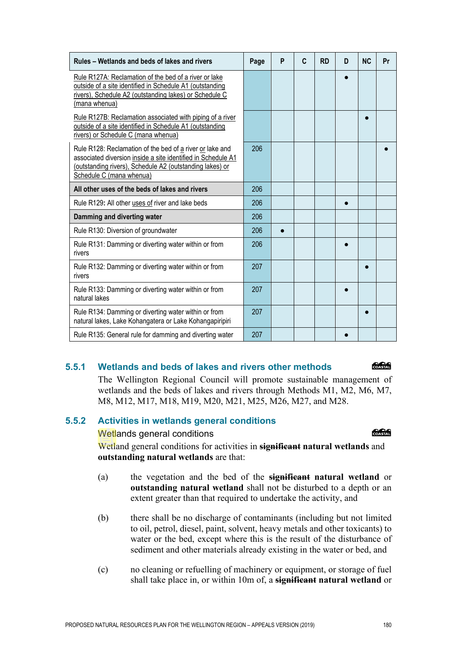| Rules – Wetlands and beds of lakes and rivers                                                                                                                                                                    |     | P | C | <b>RD</b> | D | <b>NC</b> | Pr |
|------------------------------------------------------------------------------------------------------------------------------------------------------------------------------------------------------------------|-----|---|---|-----------|---|-----------|----|
| Rule R127A: Reclamation of the bed of a river or lake<br>outside of a site identified in Schedule A1 (outstanding<br>rivers), Schedule A2 (outstanding lakes) or Schedule C<br>(mana whenua)                     |     |   |   |           |   |           |    |
| Rule R127B: Reclamation associated with piping of a river<br>outside of a site identified in Schedule A1 (outstanding<br>rivers) or Schedule C (mana whenua)                                                     |     |   |   |           |   |           |    |
| Rule R128: Reclamation of the bed of a river or lake and<br>associated diversion inside a site identified in Schedule A1<br>(outstanding rivers), Schedule A2 (outstanding lakes) or<br>Schedule C (mana whenua) | 206 |   |   |           |   |           |    |
| All other uses of the beds of lakes and rivers                                                                                                                                                                   |     |   |   |           |   |           |    |
| Rule R129: All other uses of river and lake beds                                                                                                                                                                 |     |   |   |           |   |           |    |
| Damming and diverting water                                                                                                                                                                                      |     |   |   |           |   |           |    |
| Rule R130: Diversion of groundwater                                                                                                                                                                              | 206 |   |   |           |   |           |    |
| Rule R131: Damming or diverting water within or from<br>rivers                                                                                                                                                   | 206 |   |   |           |   |           |    |
| Rule R132: Damming or diverting water within or from<br>rivers                                                                                                                                                   | 207 |   |   |           |   |           |    |
| Rule R133: Damming or diverting water within or from<br>natural lakes                                                                                                                                            | 207 |   |   |           |   |           |    |
| Rule R134: Damming or diverting water within or from<br>natural lakes, Lake Kohangatera or Lake Kohangapiripiri                                                                                                  | 207 |   |   |           |   |           |    |
| Rule R135: General rule for damming and diverting water                                                                                                                                                          | 207 |   |   |           |   |           |    |

# **5.5.1 Wetlands and beds of lakes and rivers other methods**

The Wellington Regional Council will promote sustainable management of wetlands and the beds of lakes and rivers through Methods M1, M2, M6, M7, M8, M12, M17, M18, M19, M20, M21, M25, M26, M27, and M28.

## **5.5.2 Activities in wetlands general conditions**

Wetlands general conditions

Wetland general conditions for activities in **significant natural wetlands** and **outstanding natural wetlands** are that:

- (a) the vegetation and the bed of the **significant natural wetland** or **outstanding natural wetland** shall not be disturbed to a depth or an extent greater than that required to undertake the activity, and
- (b) there shall be no discharge of contaminants (including but not limited to oil, petrol, diesel, paint, solvent, heavy metals and other toxicants) to water or the bed, except where this is the result of the disturbance of sediment and other materials already existing in the water or bed, and
- (c) no cleaning or refuelling of machinery or equipment, or storage of fuel shall take place in, or within 10m of, a **significant natural wetland** or

#### COASTAL

COASTAL

T

Т

 $\overline{\phantom{0}}$ 

The Company of the Company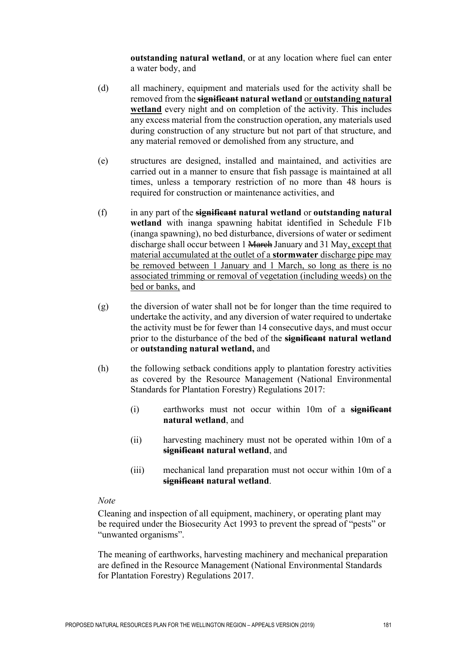**outstanding natural wetland**, or at any location where fuel can enter a water body, and

- (d) all machinery, equipment and materials used for the activity shall be removed from the **significant natural wetland** or **outstanding natural wetland** every night and on completion of the activity. This includes any excess material from the construction operation, any materials used during construction of any structure but not part of that structure, and any material removed or demolished from any structure, and
- (e) structures are designed, installed and maintained, and activities are carried out in a manner to ensure that fish passage is maintained at all times, unless a temporary restriction of no more than 48 hours is required for construction or maintenance activities, and
- (f) in any part of the **significant natural wetland** or **outstanding natural wetland** with inanga spawning habitat identified in Schedule F1b (inanga spawning), no bed disturbance, diversions of water or sediment discharge shall occur between 1 March January and 31 May, except that material accumulated at the outlet of a **stormwater** discharge pipe may be removed between 1 January and 1 March, so long as there is no associated trimming or removal of vegetation (including weeds) on the bed or banks, and
- (g) the diversion of water shall not be for longer than the time required to undertake the activity, and any diversion of water required to undertake the activity must be for fewer than 14 consecutive days, and must occur prior to the disturbance of the bed of the **significant natural wetland**  or **outstanding natural wetland,** and
- (h) the following setback conditions apply to plantation forestry activities as covered by the Resource Management (National Environmental Standards for Plantation Forestry) Regulations 2017:
	- (i) earthworks must not occur within 10m of a **significant natural wetland**, and
	- (ii) harvesting machinery must not be operated within 10m of a **significant natural wetland**, and
	- (iii) mechanical land preparation must not occur within 10m of a **significant natural wetland**.

#### *Note*

Cleaning and inspection of all equipment, machinery, or operating plant may be required under the Biosecurity Act 1993 to prevent the spread of "pests" or "unwanted organisms".

The meaning of earthworks, harvesting machinery and mechanical preparation are defined in the Resource Management (National Environmental Standards for Plantation Forestry) Regulations 2017.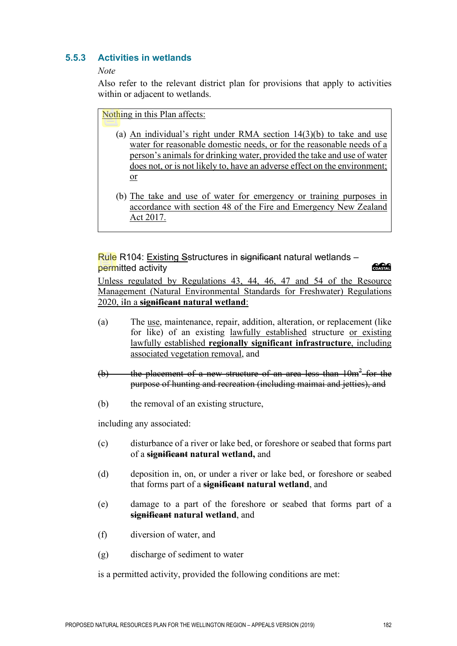# **5.5.3 Activities in wetlands**

#### *Note*

Also refer to the relevant district plan for provisions that apply to activities within or adjacent to wetlands.

Nothing in this Plan affects:

- (a) An individual's right under RMA section  $14(3)(b)$  to take and use water for reasonable domestic needs, or for the reasonable needs of a person's animals for drinking water, provided the take and use of water does not, or is not likely to, have an adverse effect on the environment; or
- (b) The take and use of water for emergency or training purposes in accordance with section 48 of the Fire and Emergency New Zealand Act 2017.

Rule R104: Existing Sstructures in significant natural wetlands – permitted activity

Unless regulated by Regulations 43, 44, 46, 47 and 54 of the Resource Management (Natural Environmental Standards for Freshwater) Regulations 2020, iIn a **significant natural wetland**:

- (a) The use, maintenance, repair, addition, alteration, or replacement (like for like) of an existing lawfully established structure or existing lawfully established **regionally significant infrastructure**, including associated vegetation removal, and
- (b) the placement of a new structure of an area less than  $10m^2$  for the purpose of hunting and recreation (including maimai and jetties), and
- (b) the removal of an existing structure,

including any associated:

- (c) disturbance of a river or lake bed, or foreshore or seabed that forms part of a **significant natural wetland,** and
- (d) deposition in, on, or under a river or lake bed, or foreshore or seabed that forms part of a **significant natural wetland**, and
- (e) damage to a part of the foreshore or seabed that forms part of a **significant natural wetland**, and
- (f) diversion of water, and
- (g) discharge of sediment to water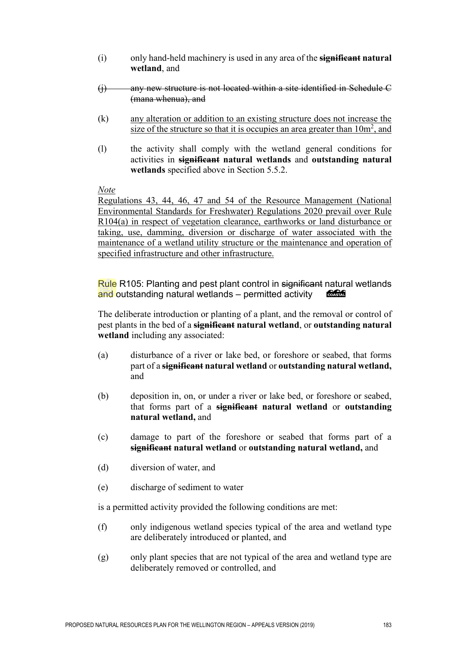- (i) only hand-held machinery is used in any area of the **significant natural wetland**, and
- (j) any new structure is not located within a site identified in Schedule C (mana whenua), and
- (k) any alteration or addition to an existing structure does not increase the size of the structure so that it is occupies an area greater than  $10m^2$ , and
- (l) the activity shall comply with the wetland general conditions for activities in **significant natural wetlands** and **outstanding natural wetlands** specified above in Section 5.5.2.

*Note* 

Regulations 43, 44, 46, 47 and 54 of the Resource Management (National Environmental Standards for Freshwater) Regulations 2020 prevail over Rule R104(a) in respect of vegetation clearance, earthworks or land disturbance or taking, use, damming, diversion or discharge of water associated with the maintenance of a wetland utility structure or the maintenance and operation of specified infrastructure and other infrastructure.

Rule R105: Planting and pest plant control in significant natural wetlands and outstanding natural wetlands – permitted activity COASTAL

The deliberate introduction or planting of a plant, and the removal or control of pest plants in the bed of a **significant natural wetland**, or **outstanding natural wetland** including any associated:

- (a) disturbance of a river or lake bed, or foreshore or seabed, that forms part of a **significant natural wetland** or **outstanding natural wetland,** and
- (b) deposition in, on, or under a river or lake bed, or foreshore or seabed, that forms part of a **significant natural wetland** or **outstanding natural wetland,** and
- (c) damage to part of the foreshore or seabed that forms part of a **significant natural wetland** or **outstanding natural wetland,** and
- (d) diversion of water, and
- (e) discharge of sediment to water

- (f) only indigenous wetland species typical of the area and wetland type are deliberately introduced or planted, and
- (g) only plant species that are not typical of the area and wetland type are deliberately removed or controlled, and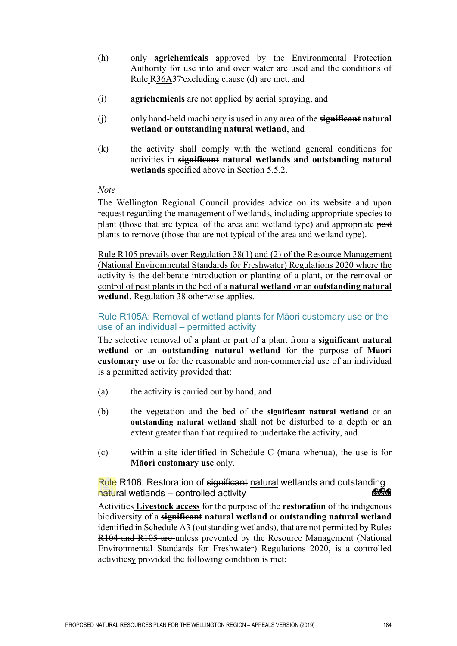- (h) only **agrichemicals** approved by the Environmental Protection Authority for use into and over water are used and the conditions of Rule R36A37 excluding clause (d) are met, and
- (i) **agrichemicals** are not applied by aerial spraying, and
- (j) only hand-held machinery is used in any area of the **significant natural wetland or outstanding natural wetland**, and
- (k) the activity shall comply with the wetland general conditions for activities in **significant natural wetlands and outstanding natural wetlands** specified above in Section 5.5.2.

#### *Note*

The Wellington Regional Council provides advice on its website and upon request regarding the management of wetlands, including appropriate species to plant (those that are typical of the area and wetland type) and appropriate pest plants to remove (those that are not typical of the area and wetland type).

Rule R105 prevails over Regulation 38(1) and (2) of the Resource Management (National Environmental Standards for Freshwater) Regulations 2020 where the activity is the deliberate introduction or planting of a plant, or the removal or control of pest plants in the bed of a **natural wetland** or an **outstanding natural wetland**. Regulation 38 otherwise applies.

# Rule R105A: Removal of wetland plants for Māori customary use or the use of an individual – permitted activity

The selective removal of a plant or part of a plant from a **significant natural wetland** or an **outstanding natural wetland** for the purpose of **Māori customary use** or for the reasonable and non-commercial use of an individual is a permitted activity provided that:

- (a) the activity is carried out by hand, and
- (b) the vegetation and the bed of the **significant natural wetland** or an **outstanding natural wetland** shall not be disturbed to a depth or an extent greater than that required to undertake the activity, and
- (c) within a site identified in Schedule C (mana whenua), the use is for **Māori customary use** only.

Rule R106: Restoration of <del>significant</del> natural wetlands and outstanding<br>natural wetlands – controlled activity natural wetlands – controlled activity

Activities **Livestock access** for the purpose of the **restoration** of the indigenous biodiversity of a **significant natural wetland** or **outstanding natural wetland** identified in Schedule A3 (outstanding wetlands), that are not permitted by Rules R104 and R105 are unless prevented by the Resource Management (National Environmental Standards for Freshwater) Regulations 2020, is a controlled activitiesy provided the following condition is met: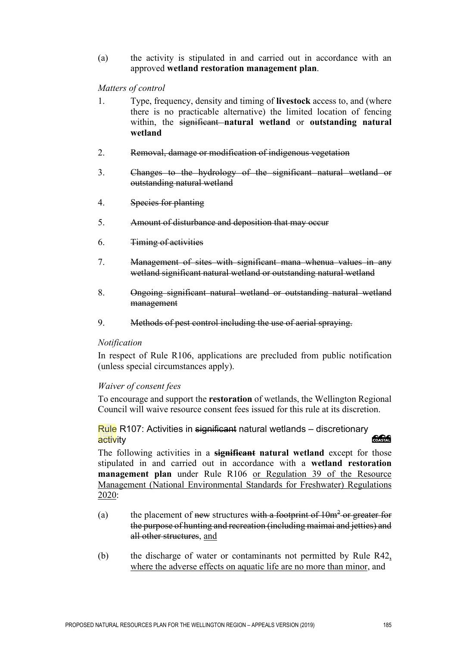(a) the activity is stipulated in and carried out in accordance with an approved **wetland restoration management plan**.

*Matters of control* 

- 1. Type, frequency, density and timing of **livestock** access to, and (where there is no practicable alternative) the limited location of fencing within, the significant **natural wetland** or **outstanding natural wetland**
- 2. Removal, damage or modification of indigenous vegetation
- 3. Changes to the hydrology of the significant natural wetland or outstanding natural wetland
- 4. Species for planting
- 5. Amount of disturbance and deposition that may occur
- 6. Timing of activities
- 7. Management of sites with significant mana whenua values in any wetland significant natural wetland or outstanding natural wetland
- 8. Ongoing significant natural wetland or outstanding natural wetland management
- 9. Methods of pest control including the use of aerial spraying.

#### *Notification*

In respect of Rule R106, applications are precluded from public notification (unless special circumstances apply).

#### *Waiver of consent fees*

To encourage and support the **restoration** of wetlands, the Wellington Regional Council will waive resource consent fees issued for this rule at its discretion.

Rule R107: Activities in significant natural wetlands – discretionary activity

The following activities in a **significant natural wetland** except for those stipulated in and carried out in accordance with a **wetland restoration management plan** under Rule R106 or Regulation 39 of the Resource Management (National Environmental Standards for Freshwater) Regulations 2020:

- (a) the placement of new structures with a footprint of  $10m<sup>2</sup>$  or greater for the purpose of hunting and recreation (including maimai and jetties) and all other structures, and
- (b) the discharge of water or contaminants not permitted by Rule R42, where the adverse effects on aquatic life are no more than minor, and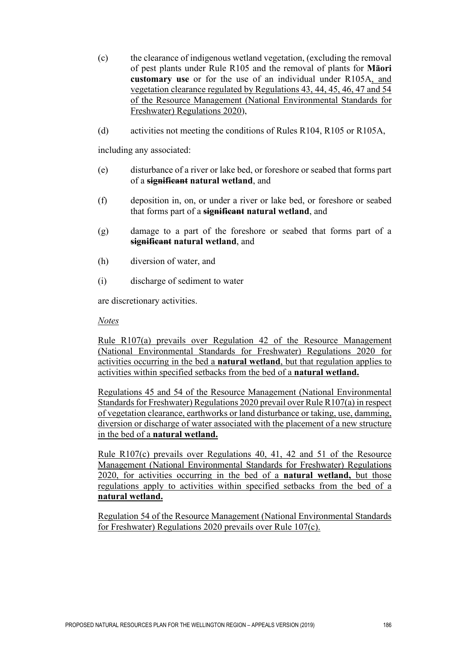- (c) the clearance of indigenous wetland vegetation, (excluding the removal of pest plants under Rule R105 and the removal of plants for **Māori customary use** or for the use of an individual under R105A, and vegetation clearance regulated by Regulations 43, 44, 45, 46, 47 and 54 of the Resource Management (National Environmental Standards for Freshwater) Regulations 2020),
- (d) activities not meeting the conditions of Rules R104, R105 or R105A,

including any associated:

- (e) disturbance of a river or lake bed, or foreshore or seabed that forms part of a **significant natural wetland**, and
- (f) deposition in, on, or under a river or lake bed, or foreshore or seabed that forms part of a **significant natural wetland**, and
- (g) damage to a part of the foreshore or seabed that forms part of a **significant natural wetland**, and
- (h) diversion of water, and
- (i) discharge of sediment to water

are discretionary activities.

#### *Notes*

Rule R107(a) prevails over Regulation 42 of the Resource Management (National Environmental Standards for Freshwater) Regulations 2020 for activities occurring in the bed a **natural wetland**, but that regulation applies to activities within specified setbacks from the bed of a **natural wetland.** 

Regulations 45 and 54 of the Resource Management (National Environmental Standards for Freshwater) Regulations 2020 prevail over Rule R107(a) in respect of vegetation clearance, earthworks or land disturbance or taking, use, damming, diversion or discharge of water associated with the placement of a new structure in the bed of a **natural wetland.**

Rule R107(c) prevails over Regulations 40, 41, 42 and 51 of the Resource Management (National Environmental Standards for Freshwater) Regulations 2020, for activities occurring in the bed of a **natural wetland,** but those regulations apply to activities within specified setbacks from the bed of a **natural wetland.**

Regulation 54 of the Resource Management (National Environmental Standards for Freshwater) Regulations 2020 prevails over Rule 107(c).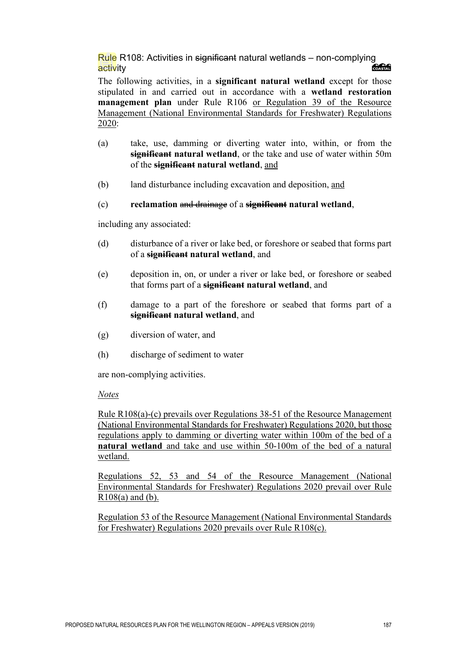Rule R108: Activities in significant natural wetlands – non-complying activity

The following activities, in a **significant natural wetland** except for those stipulated in and carried out in accordance with a **wetland restoration management plan** under Rule R106 or Regulation 39 of the Resource Management (National Environmental Standards for Freshwater) Regulations 2020:

- (a) take, use, damming or diverting water into, within, or from the **significant natural wetland**, or the take and use of water within 50m of the **significant natural wetland**, and
- (b) land disturbance including excavation and deposition, and

# (c) **reclamation** and drainage of a **significant natural wetland**,

including any associated:

- (d) disturbance of a river or lake bed, or foreshore or seabed that forms part of a **significant natural wetland**, and
- (e) deposition in, on, or under a river or lake bed, or foreshore or seabed that forms part of a **significant natural wetland**, and
- (f) damage to a part of the foreshore or seabed that forms part of a **significant natural wetland**, and
- (g) diversion of water, and
- (h) discharge of sediment to water

are non-complying activities.

#### *Notes*

Rule R108(a)-(c) prevails over Regulations 38-51 of the Resource Management (National Environmental Standards for Freshwater) Regulations 2020, but those regulations apply to damming or diverting water within 100m of the bed of a **natural wetland** and take and use within 50-100m of the bed of a natural wetland.

Regulations 52, 53 and 54 of the Resource Management (National Environmental Standards for Freshwater) Regulations 2020 prevail over Rule  $R108(a)$  and (b).

Regulation 53 of the Resource Management (National Environmental Standards for Freshwater) Regulations 2020 prevails over Rule R108(c).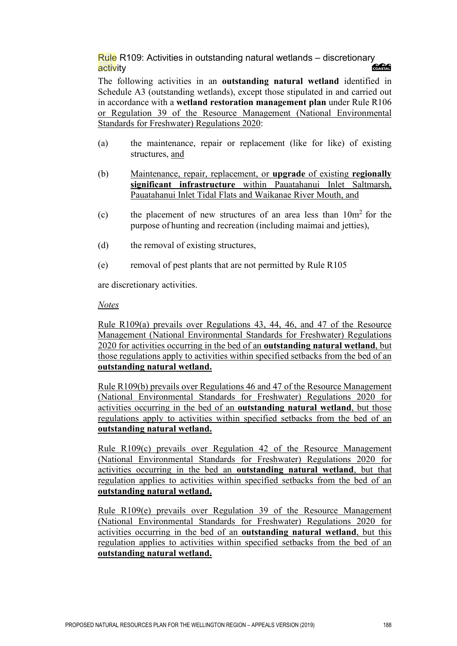Rule R109: Activities in outstanding natural wetlands – discretionary activity

The following activities in an **outstanding natural wetland** identified in Schedule A3 (outstanding wetlands), except those stipulated in and carried out in accordance with a **wetland restoration management plan** under Rule R106 or Regulation 39 of the Resource Management (National Environmental Standards for Freshwater) Regulations 2020:

- (a) the maintenance, repair or replacement (like for like) of existing structures, and
- (b) Maintenance, repair, replacement, or **upgrade** of existing **regionally significant infrastructure** within Pauatahanui Inlet Saltmarsh, Pauatahanui Inlet Tidal Flats and Waikanae River Mouth, and
- (c) the placement of new structures of an area less than  $10m^2$  for the purpose of hunting and recreation (including maimai and jetties),
- (d) the removal of existing structures,
- (e) removal of pest plants that are not permitted by Rule R105

are discretionary activities.

#### *Notes*

Rule R109(a) prevails over Regulations 43, 44, 46, and 47 of the Resource Management (National Environmental Standards for Freshwater) Regulations 2020 for activities occurring in the bed of an **outstanding natural wetland**, but those regulations apply to activities within specified setbacks from the bed of an **outstanding natural wetland.**

Rule R109(b) prevails over Regulations 46 and 47 of the Resource Management (National Environmental Standards for Freshwater) Regulations 2020 for activities occurring in the bed of an **outstanding natural wetland**, but those regulations apply to activities within specified setbacks from the bed of an **outstanding natural wetland.**

Rule R109(c) prevails over Regulation 42 of the Resource Management (National Environmental Standards for Freshwater) Regulations 2020 for activities occurring in the bed an **outstanding natural wetland**, but that regulation applies to activities within specified setbacks from the bed of an **outstanding natural wetland.**

Rule R109(e) prevails over Regulation 39 of the Resource Management (National Environmental Standards for Freshwater) Regulations 2020 for activities occurring in the bed of an **outstanding natural wetland**, but this regulation applies to activities within specified setbacks from the bed of an **outstanding natural wetland.**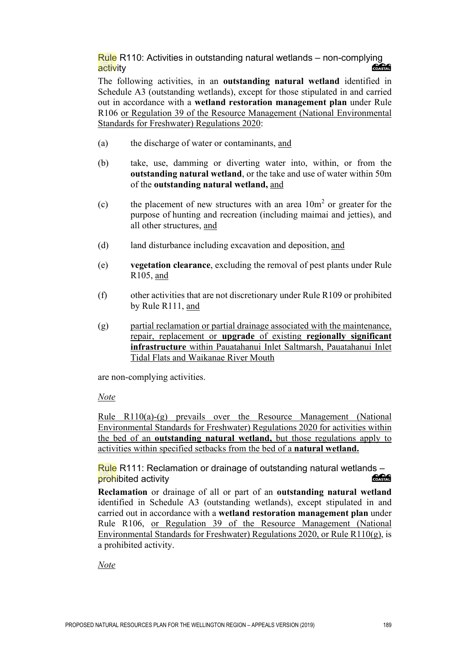Rule R110: Activities in outstanding natural wetlands – non-complying **Concrete** activity

The following activities, in an **outstanding natural wetland** identified in Schedule A3 (outstanding wetlands), except for those stipulated in and carried out in accordance with a **wetland restoration management plan** under Rule R106 or Regulation 39 of the Resource Management (National Environmental Standards for Freshwater) Regulations 2020:

- (a) the discharge of water or contaminants, and
- (b) take, use, damming or diverting water into, within, or from the **outstanding natural wetland**, or the take and use of water within 50m of the **outstanding natural wetland,** and
- (c) the placement of new structures with an area  $10m<sup>2</sup>$  or greater for the purpose of hunting and recreation (including maimai and jetties), and all other structures, and
- (d) land disturbance including excavation and deposition, and
- (e) **vegetation clearance**, excluding the removal of pest plants under Rule R105, and
- (f) other activities that are not discretionary under Rule R109 or prohibited by Rule R111, and
- (g) partial reclamation or partial drainage associated with the maintenance, repair, replacement or **upgrade** of existing **regionally significant infrastructure** within Pauatahanui Inlet Saltmarsh, Pauatahanui Inlet Tidal Flats and Waikanae River Mouth

are non-complying activities.

*Note*

Rule R110(a)-(g) prevails over the Resource Management (National Environmental Standards for Freshwater) Regulations 2020 for activities within the bed of an **outstanding natural wetland,** but those regulations apply to activities within specified setbacks from the bed of a **natural wetland.**

Rule R111: Reclamation or drainage of outstanding natural wetlands – COASTAL prohibited activity

**Reclamation** or drainage of all or part of an **outstanding natural wetland** identified in Schedule A3 (outstanding wetlands), except stipulated in and carried out in accordance with a **wetland restoration management plan** under Rule R106, or Regulation 39 of the Resource Management (National Environmental Standards for Freshwater) Regulations 2020, or Rule R110(g), is a prohibited activity.

*Note*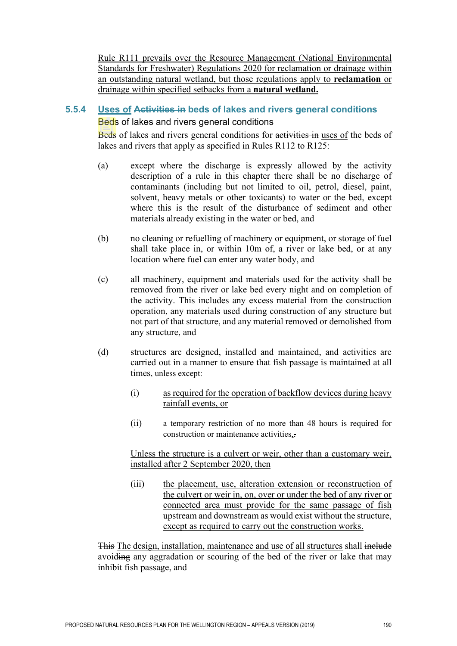Rule R111 prevails over the Resource Management (National Environmental Standards for Freshwater) Regulations 2020 for reclamation or drainage within an outstanding natural wetland, but those regulations apply to **reclamation** or drainage within specified setbacks from a **natural wetland.**

# **5.5.4 Uses of Activities in beds of lakes and rivers general conditions**

# Beds of lakes and rivers general conditions

Beds of lakes and rivers general conditions for activities in uses of the beds of lakes and rivers that apply as specified in Rules R112 to R125:

- (a) except where the discharge is expressly allowed by the activity description of a rule in this chapter there shall be no discharge of contaminants (including but not limited to oil, petrol, diesel, paint, solvent, heavy metals or other toxicants) to water or the bed, except where this is the result of the disturbance of sediment and other materials already existing in the water or bed, and
- (b) no cleaning or refuelling of machinery or equipment, or storage of fuel shall take place in, or within 10m of, a river or lake bed, or at any location where fuel can enter any water body, and
- (c) all machinery, equipment and materials used for the activity shall be removed from the river or lake bed every night and on completion of the activity. This includes any excess material from the construction operation, any materials used during construction of any structure but not part of that structure, and any material removed or demolished from any structure, and
- (d) structures are designed, installed and maintained, and activities are carried out in a manner to ensure that fish passage is maintained at all times, unless except:
	- (i) as required for the operation of backflow devices during heavy rainfall events, or
	- (ii) a temporary restriction of no more than 48 hours is required for construction or maintenance activities,.

Unless the structure is a culvert or weir, other than a customary weir, installed after 2 September 2020, then

(iii) the placement, use, alteration extension or reconstruction of the culvert or weir in, on, over or under the bed of any river or connected area must provide for the same passage of fish upstream and downstream as would exist without the structure, except as required to carry out the construction works.

This The design, installation, maintenance and use of all structures shall include avoiding any aggradation or scouring of the bed of the river or lake that may inhibit fish passage, and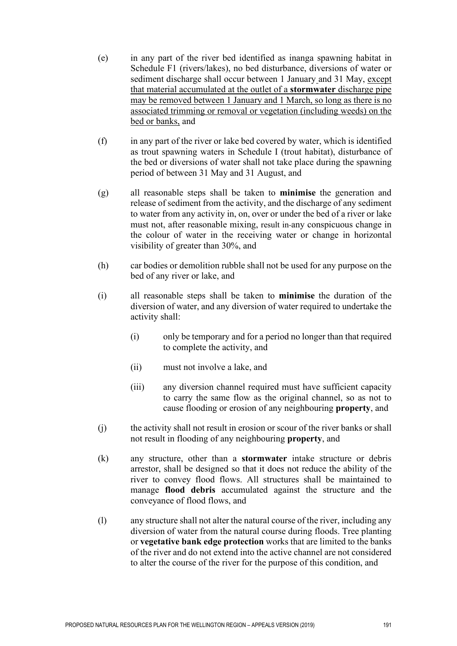- (e) in any part of the river bed identified as inanga spawning habitat in Schedule F1 (rivers/lakes), no bed disturbance, diversions of water or sediment discharge shall occur between 1 January and 31 May, except that material accumulated at the outlet of a **stormwater** discharge pipe may be removed between 1 January and 1 March, so long as there is no associated trimming or removal or vegetation (including weeds) on the bed or banks, and
- (f) in any part of the river or lake bed covered by water, which is identified as trout spawning waters in Schedule I (trout habitat), disturbance of the bed or diversions of water shall not take place during the spawning period of between 31 May and 31 August, and
- (g) all reasonable steps shall be taken to **minimise** the generation and release of sediment from the activity, and the discharge of any sediment to water from any activity in, on, over or under the bed of a river or lake must not, after reasonable mixing, result in any conspicuous change in the colour of water in the receiving water or change in horizontal visibility of greater than 30%, and
- (h) car bodies or demolition rubble shall not be used for any purpose on the bed of any river or lake, and
- (i) all reasonable steps shall be taken to **minimise** the duration of the diversion of water, and any diversion of water required to undertake the activity shall:
	- (i) only be temporary and for a period no longer than that required to complete the activity, and
	- (ii) must not involve a lake, and
	- (iii) any diversion channel required must have sufficient capacity to carry the same flow as the original channel, so as not to cause flooding or erosion of any neighbouring **property**, and
- (j) the activity shall not result in erosion or scour of the river banks or shall not result in flooding of any neighbouring **property**, and
- (k) any structure, other than a **stormwater** intake structure or debris arrestor, shall be designed so that it does not reduce the ability of the river to convey flood flows. All structures shall be maintained to manage **flood debris** accumulated against the structure and the conveyance of flood flows, and
- (l) any structure shall not alter the natural course of the river, including any diversion of water from the natural course during floods. Tree planting or **vegetative bank edge protection** works that are limited to the banks of the river and do not extend into the active channel are not considered to alter the course of the river for the purpose of this condition, and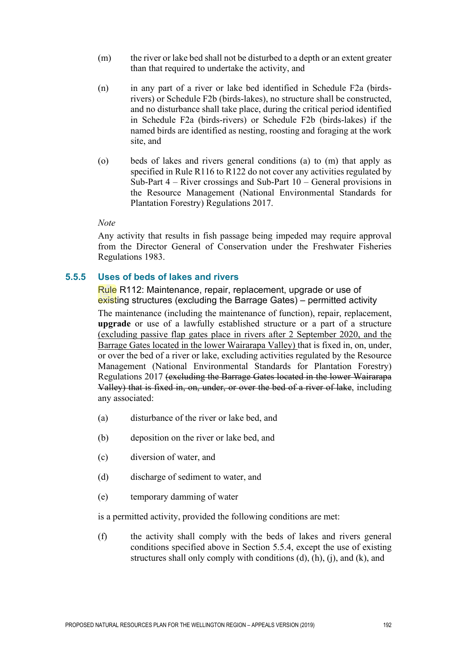- (m) the river or lake bed shall not be disturbed to a depth or an extent greater than that required to undertake the activity, and
- (n) in any part of a river or lake bed identified in Schedule F2a (birdsrivers) or Schedule F2b (birds-lakes), no structure shall be constructed, and no disturbance shall take place, during the critical period identified in Schedule F2a (birds-rivers) or Schedule F2b (birds-lakes) if the named birds are identified as nesting, roosting and foraging at the work site, and
- (o) beds of lakes and rivers general conditions (a) to (m) that apply as specified in Rule R116 to R122 do not cover any activities regulated by Sub-Part  $4 -$  River crossings and Sub-Part  $10 -$  General provisions in the Resource Management (National Environmental Standards for Plantation Forestry) Regulations 2017.

#### *Note*

Any activity that results in fish passage being impeded may require approval from the Director General of Conservation under the Freshwater Fisheries Regulations 1983.

## **5.5.5 Uses of beds of lakes and rivers**

Rule R112: Maintenance, repair, replacement, upgrade or use of existing structures (excluding the Barrage Gates) – permitted activity The maintenance (including the maintenance of function), repair, replacement, **upgrade** or use of a lawfully established structure or a part of a structure (excluding passive flap gates place in rivers after 2 September 2020, and the Barrage Gates located in the lower Wairarapa Valley) that is fixed in, on, under, or over the bed of a river or lake, excluding activities regulated by the Resource Management (National Environmental Standards for Plantation Forestry) Regulations 2017 (excluding the Barrage Gates located in the lower Wairarapa Valley) that is fixed in, on, under, or over the bed of a river of lake, including any associated:

- (a) disturbance of the river or lake bed, and
- (b) deposition on the river or lake bed, and
- (c) diversion of water, and
- (d) discharge of sediment to water, and
- (e) temporary damming of water

is a permitted activity, provided the following conditions are met:

(f) the activity shall comply with the beds of lakes and rivers general conditions specified above in Section 5.5.4, except the use of existing structures shall only comply with conditions (d), (h), (j), and (k), and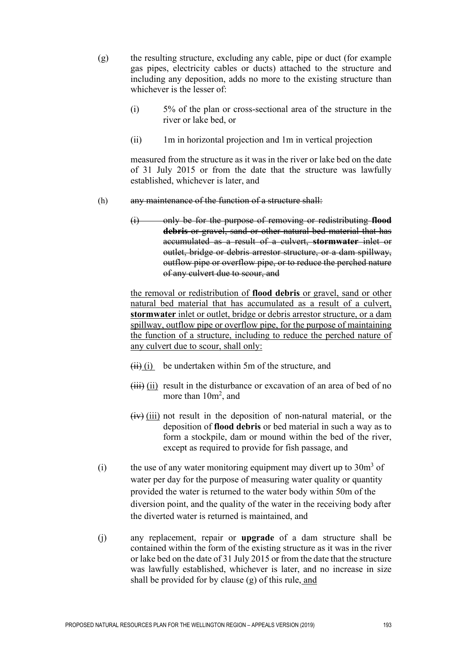- (g) the resulting structure, excluding any cable, pipe or duct (for example gas pipes, electricity cables or ducts) attached to the structure and including any deposition, adds no more to the existing structure than whichever is the lesser of:
	- (i) 5% of the plan or cross-sectional area of the structure in the river or lake bed, or
	- (ii) 1m in horizontal projection and 1m in vertical projection

measured from the structure as it was in the river or lake bed on the date of 31 July 2015 or from the date that the structure was lawfully established, whichever is later, and

- (h) any maintenance of the function of a structure shall:
	- (i) only be for the purpose of removing or redistributing **flood debris** or gravel, sand or other natural bed material that has accumulated as a result of a culvert, **stormwater** inlet or outlet, bridge or debris arrestor structure, or a dam spillway, outflow pipe or overflow pipe, or to reduce the perched nature of any culvert due to scour, and

the removal or redistribution of **flood debris** or gravel, sand or other natural bed material that has accumulated as a result of a culvert, **stormwater** inlet or outlet, bridge or debris arrestor structure, or a dam spillway, outflow pipe or overflow pipe, for the purpose of maintaining the function of a structure, including to reduce the perched nature of any culvert due to scour, shall only:

- $(ii)$  (i) be undertaken within 5m of the structure, and
- $(iii)$  (ii) result in the disturbance or excavation of an area of bed of no more than  $10m^2$ , and
- $(iv)$  (iii) not result in the deposition of non-natural material, or the deposition of **flood debris** or bed material in such a way as to form a stockpile, dam or mound within the bed of the river, except as required to provide for fish passage, and
- (i) the use of any water monitoring equipment may divert up to  $30m<sup>3</sup>$  of water per day for the purpose of measuring water quality or quantity provided the water is returned to the water body within 50m of the diversion point, and the quality of the water in the receiving body after the diverted water is returned is maintained, and
- (j) any replacement, repair or **upgrade** of a dam structure shall be contained within the form of the existing structure as it was in the river or lake bed on the date of 31 July 2015 or from the date that the structure was lawfully established, whichever is later, and no increase in size shall be provided for by clause (g) of this rule, and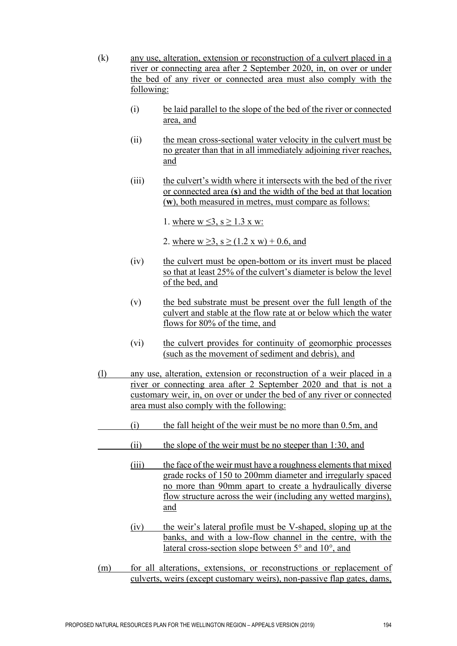- (k) any use, alteration, extension or reconstruction of a culvert placed in a river or connecting area after 2 September 2020, in, on over or under the bed of any river or connected area must also comply with the following:
	- (i) be laid parallel to the slope of the bed of the river or connected area, and
	- (ii) the mean cross-sectional water velocity in the culvert must be no greater than that in all immediately adjoining river reaches, and
	- (iii) the culvert's width where it intersects with the bed of the river or connected area (**s**) and the width of the bed at that location (**w**), both measured in metres, must compare as follows:

1. where  $w \le 3$ ,  $s \ge 1.3$  x w:

2. where  $w > 3$ ,  $s > (1.2 \times w) + 0.6$ , and

- (iv) the culvert must be open-bottom or its invert must be placed so that at least 25% of the culvert's diameter is below the level of the bed, and
- (v) the bed substrate must be present over the full length of the culvert and stable at the flow rate at or below which the water flows for 80% of the time, and
- (vi) the culvert provides for continuity of geomorphic processes (such as the movement of sediment and debris), and
- (l) any use, alteration, extension or reconstruction of a weir placed in a river or connecting area after 2 September 2020 and that is not a customary weir, in, on over or under the bed of any river or connected area must also comply with the following:
	- (i) the fall height of the weir must be no more than 0.5m, and
- (ii) the slope of the weir must be no steeper than 1:30, and
	- (iii) the face of the weir must have a roughness elements that mixed grade rocks of 150 to 200mm diameter and irregularly spaced no more than 90mm apart to create a hydraulically diverse flow structure across the weir (including any wetted margins), and
	- (iv) the weir's lateral profile must be V-shaped, sloping up at the banks, and with a low-flow channel in the centre, with the lateral cross-section slope between 5° and 10°, and
- (m) for all alterations, extensions, or reconstructions or replacement of culverts, weirs (except customary weirs), non-passive flap gates, dams,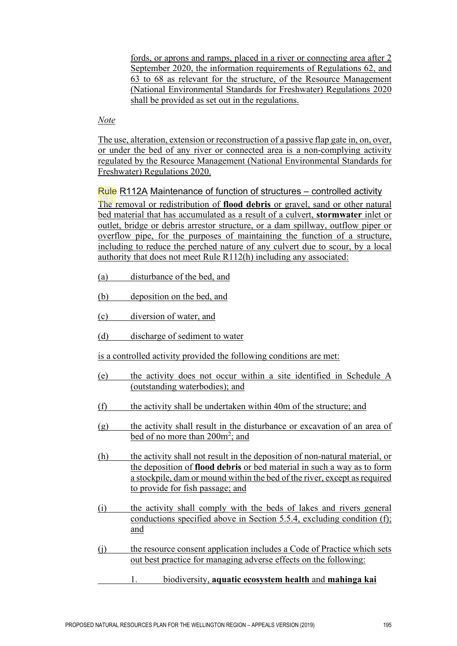fords, or aprons and ramps, placed in a river or connecting area after 2 September 2020, the information requirements of Regulations 62, and 63 to 68 as relevant for the structure, of the Resource Management (National Environmental Standards for Freshwater) Regulations 2020 shall be provided as set out in the regulations.

## *Note*

The use, alteration, extension or reconstruction of a passive flap gate in, on, over, or under the bed of any river or connected area is a non-complying activity regulated by the Resource Management (National Environmental Standards for Freshwater) Regulations 2020.

Rule R112A Maintenance of function of structures – controlled activity The removal or redistribution of **flood debris** or gravel, sand or other natural bed material that has accumulated as a result of a culvert, **stormwater** inlet or outlet, bridge or debris arrestor structure, or a dam spillway, outflow piper or overflow pipe, for the purposes of maintaining the function of a structure, including to reduce the perched nature of any culvert due to scour, by a local authority that does not meet Rule R112(h) including any associated:

- (a) disturbance of the bed, and
- (b) deposition on the bed, and
- (c) diversion of water, and
- (d) discharge of sediment to water

is a controlled activity provided the following conditions are met:

- (e) the activity does not occur within a site identified in Schedule A (outstanding waterbodies); and
- (f) the activity shall be undertaken within 40m of the structure; and
- (g) the activity shall result in the disturbance or excavation of an area of <u>bed of no more than 200m<sup>2</sup>; and</u>
- (h) the activity shall not result in the deposition of non-natural material, or the deposition of **flood debris** or bed material in such a way as to form a stockpile, dam or mound within the bed of the river, except as required to provide for fish passage; and
- (i) the activity shall comply with the beds of lakes and rivers general conductions specified above in Section 5.5.4, excluding condition (f); and
- (j) the resource consent application includes a Code of Practice which sets out best practice for managing adverse effects on the following:
	- 1. biodiversity, **aquatic ecosystem health** and **mahinga kai**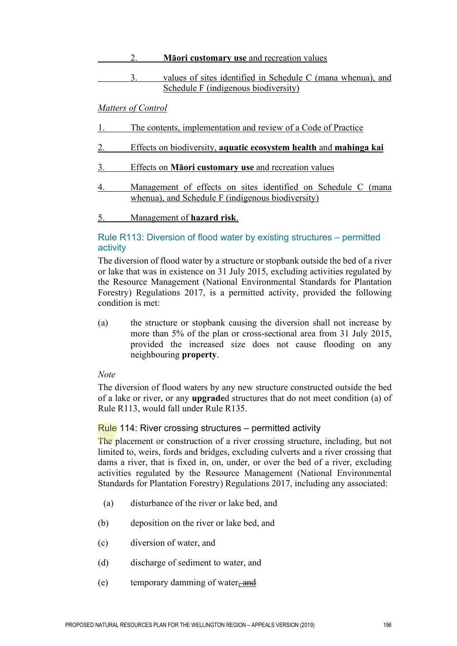# 2. **Māori customary use** and recreation values 3. values of sites identified in Schedule C (mana whenua), and Schedule F (indigenous biodiversity)

# *Matters of Control*

- 1. The contents, implementation and review of a Code of Practice
- 2. Effects on biodiversity, **aquatic ecosystem health** and **mahinga kai**
- 3. Effects on **Māori customary use** and recreation values
- 4. Management of effects on sites identified on Schedule C (mana whenua), and Schedule F (indigenous biodiversity)

# 5. Management of **hazard risk**.

# Rule R113: Diversion of flood water by existing structures – permitted activity

The diversion of flood water by a structure or stopbank outside the bed of a river or lake that was in existence on 31 July 2015, excluding activities regulated by the Resource Management (National Environmental Standards for Plantation Forestry) Regulations 2017, is a permitted activity, provided the following condition is met:

(a) the structure or stopbank causing the diversion shall not increase by more than 5% of the plan or cross-sectional area from 31 July 2015, provided the increased size does not cause flooding on any neighbouring **property**.

#### *Note*

The diversion of flood waters by any new structure constructed outside the bed of a lake or river, or any **upgrade**d structures that do not meet condition (a) of Rule R113, would fall under Rule R135.

#### Rule 114: River crossing structures – permitted activity

The placement or construction of a river crossing structure, including, but not limited to, weirs, fords and bridges, excluding culverts and a river crossing that dams a river, that is fixed in, on, under, or over the bed of a river, excluding activities regulated by the Resource Management (National Environmental Standards for Plantation Forestry) Regulations 2017, including any associated:

- (a) disturbance of the river or lake bed, and
- (b) deposition on the river or lake bed, and
- (c) diversion of water, and
- (d) discharge of sediment to water, and
- (e) temporary damming of water, and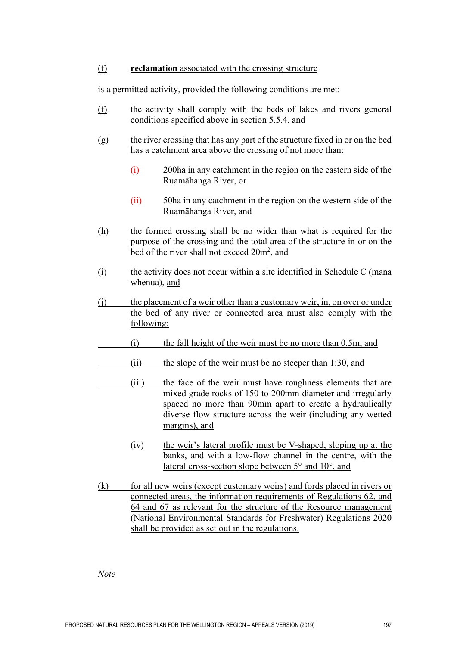#### (f) **reclamation** associated with the crossing structure

is a permitted activity, provided the following conditions are met:

- (f) the activity shall comply with the beds of lakes and rivers general conditions specified above in section 5.5.4, and
- (g) the river crossing that has any part of the structure fixed in or on the bed has a catchment area above the crossing of not more than:
	- (i) 200ha in any catchment in the region on the eastern side of the Ruamāhanga River, or
	- (ii) 50ha in any catchment in the region on the western side of the Ruamāhanga River, and
- (h) the formed crossing shall be no wider than what is required for the purpose of the crossing and the total area of the structure in or on the bed of the river shall not exceed 20m<sup>2</sup>, and
- (i) the activity does not occur within a site identified in Schedule C (mana whenua), and
- (j) the placement of a weir other than a customary weir, in, on over or under the bed of any river or connected area must also comply with the following:
- (i) the fall height of the weir must be no more than 0.5m, and
- (ii) the slope of the weir must be no steeper than 1:30, and
- (iii) the face of the weir must have roughness elements that are mixed grade rocks of 150 to 200mm diameter and irregularly spaced no more than 90mm apart to create a hydraulically diverse flow structure across the weir (including any wetted margins), and
	- (iv) the weir's lateral profile must be V-shaped, sloping up at the banks, and with a low-flow channel in the centre, with the lateral cross-section slope between 5° and 10°, and
- (k) for all new weirs (except customary weirs) and fords placed in rivers or connected areas, the information requirements of Regulations 62, and 64 and 67 as relevant for the structure of the Resource management (National Environmental Standards for Freshwater) Regulations 2020 shall be provided as set out in the regulations.

*Note*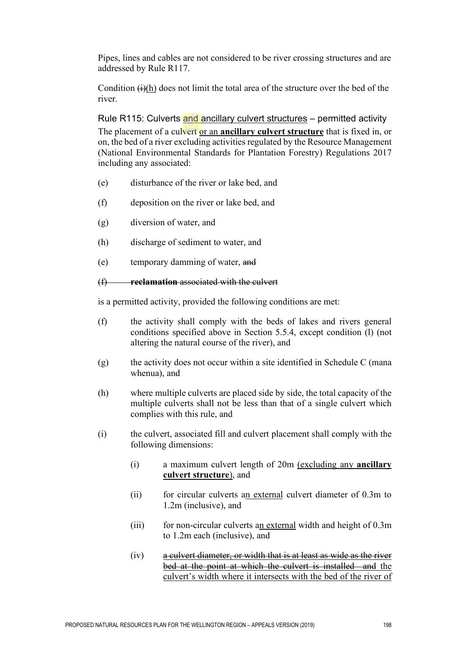Pipes, lines and cables are not considered to be river crossing structures and are addressed by Rule R117.

Condition  $\overrightarrow{(i)}$ (h) does not limit the total area of the structure over the bed of the river.

Rule R115: Culverts and ancillary culvert structures – permitted activity The placement of a culvert or an **ancillary culvert structure** that is fixed in, or on, the bed of a river excluding activities regulated by the Resource Management (National Environmental Standards for Plantation Forestry) Regulations 2017 including any associated:

- (e) disturbance of the river or lake bed, and
- (f) deposition on the river or lake bed, and
- (g) diversion of water, and
- (h) discharge of sediment to water, and
- (e) temporary damming of water, and

# (f) **reclamation** associated with the culvert

- (f) the activity shall comply with the beds of lakes and rivers general conditions specified above in Section 5.5.4, except condition (l) (not altering the natural course of the river), and
- $(g)$  the activity does not occur within a site identified in Schedule C (mana whenua), and
- (h) where multiple culverts are placed side by side, the total capacity of the multiple culverts shall not be less than that of a single culvert which complies with this rule, and
- (i) the culvert, associated fill and culvert placement shall comply with the following dimensions:
	- (i) a maximum culvert length of 20m (excluding any **ancillary culvert structure**), and
	- (ii) for circular culverts an external culvert diameter of 0.3m to 1.2m (inclusive), and
	- (iii) for non-circular culverts an external width and height of 0.3m to 1.2m each (inclusive), and
	- (iv) a culvert diameter, or width that is at least as wide as the river bed at the point at which the culvert is installed and the culvert's width where it intersects with the bed of the river of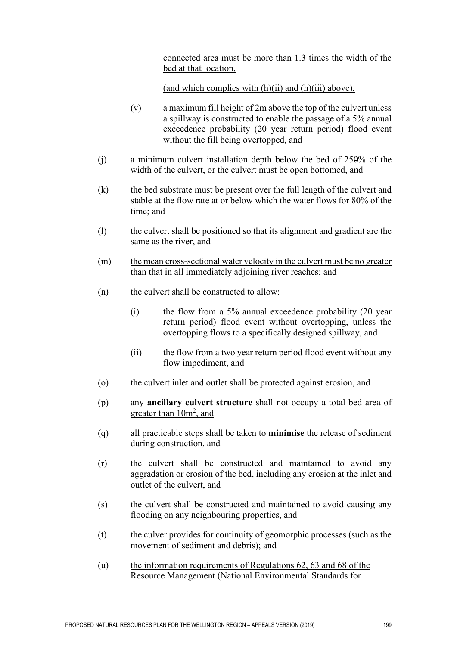connected area must be more than 1.3 times the width of the bed at that location,

## (and which complies with (h)(ii) and (h)(iii) above),

- (v) a maximum fill height of 2m above the top of the culvert unless a spillway is constructed to enable the passage of a 5% annual exceedence probability (20 year return period) flood event without the fill being overtopped, and
- (j) a minimum culvert installation depth below the bed of  $250\%$  of the width of the culvert, or the culvert must be open bottomed, and
- (k) the bed substrate must be present over the full length of the culvert and stable at the flow rate at or below which the water flows for 80% of the time; and
- (l) the culvert shall be positioned so that its alignment and gradient are the same as the river, and
- (m) the mean cross-sectional water velocity in the culvert must be no greater than that in all immediately adjoining river reaches; and
- (n) the culvert shall be constructed to allow:
	- (i) the flow from a 5% annual exceedence probability (20 year return period) flood event without overtopping, unless the overtopping flows to a specifically designed spillway, and
	- (ii) the flow from a two year return period flood event without any flow impediment, and
- (o) the culvert inlet and outlet shall be protected against erosion, and
- (p) any **ancillary culvert structure** shall not occupy a total bed area of greater than 10m<sup>2</sup>, and
- (q) all practicable steps shall be taken to **minimise** the release of sediment during construction, and
- (r) the culvert shall be constructed and maintained to avoid any aggradation or erosion of the bed, including any erosion at the inlet and outlet of the culvert, and
- (s) the culvert shall be constructed and maintained to avoid causing any flooding on any neighbouring properties, and
- (t) the culver provides for continuity of geomorphic processes (such as the movement of sediment and debris); and
- (u) the information requirements of Regulations 62, 63 and 68 of the Resource Management (National Environmental Standards for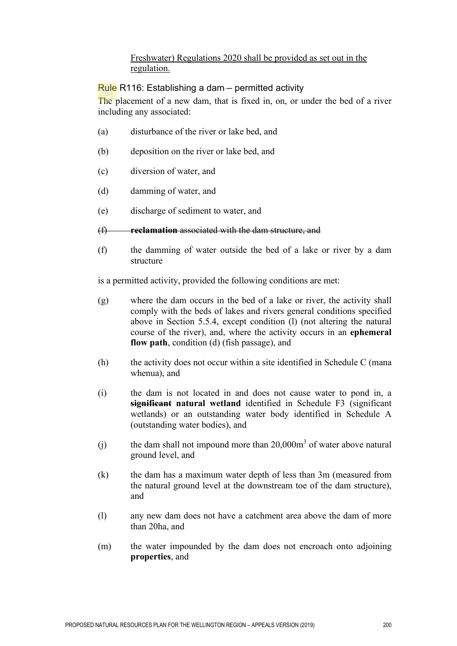# Freshwater) Regulations 2020 shall be provided as set out in the regulation.

# Rule R116: Establishing a dam – permitted activity

The placement of a new dam, that is fixed in, on, or under the bed of a river including any associated:

- (a) disturbance of the river or lake bed, and
- (b) deposition on the river or lake bed, and
- (c) diversion of water, and
- (d) damming of water, and
- (e) discharge of sediment to water, and
- (f) **reclamation** associated with the dam structure, and
- (f) the damming of water outside the bed of a lake or river by a dam structure

- (g) where the dam occurs in the bed of a lake or river, the activity shall comply with the beds of lakes and rivers general conditions specified above in Section 5.5.4, except condition (l) (not altering the natural course of the river), and, where the activity occurs in an **ephemeral flow path**, condition (d) (fish passage), and
- (h) the activity does not occur within a site identified in Schedule C (mana whenua), and
- (i) the dam is not located in and does not cause water to pond in, a **significant natural wetland** identified in Schedule F3 (significant wetlands) or an outstanding water body identified in Schedule A (outstanding water bodies), and
- (i) the dam shall not impound more than  $20,000m^3$  of water above natural ground level, and
- (k) the dam has a maximum water depth of less than 3m (measured from the natural ground level at the downstream toe of the dam structure), and
- (l) any new dam does not have a catchment area above the dam of more than 20ha, and
- (m) the water impounded by the dam does not encroach onto adjoining **properties**, and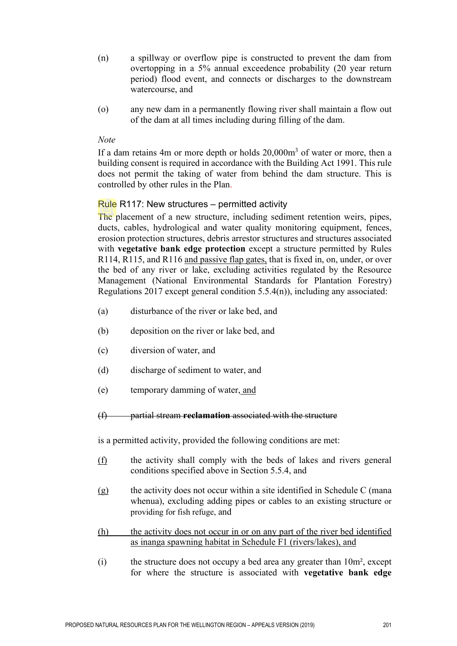- (n) a spillway or overflow pipe is constructed to prevent the dam from overtopping in a 5% annual exceedence probability (20 year return period) flood event, and connects or discharges to the downstream watercourse, and
- (o) any new dam in a permanently flowing river shall maintain a flow out of the dam at all times including during filling of the dam.

#### *Note*

If a dam retains 4m or more depth or holds  $20,000m<sup>3</sup>$  of water or more, then a building consent is required in accordance with the Building Act 1991. This rule does not permit the taking of water from behind the dam structure. This is controlled by other rules in the Plan.

# Rule R117: New structures – permitted activity

The placement of a new structure, including sediment retention weirs, pipes, ducts, cables, hydrological and water quality monitoring equipment, fences, erosion protection structures, debris arrestor structures and structures associated with **vegetative bank edge protection** except a structure permitted by Rules R114, R115, and R116 and passive flap gates, that is fixed in, on, under, or over the bed of any river or lake, excluding activities regulated by the Resource Management (National Environmental Standards for Plantation Forestry) Regulations 2017 except general condition 5.5.4(n)), including any associated:

- (a) disturbance of the river or lake bed, and
- (b) deposition on the river or lake bed, and
- (c) diversion of water, and
- (d) discharge of sediment to water, and
- (e) temporary damming of water, and
- (f) partial stream **reclamation** associated with the structure

- (f) the activity shall comply with the beds of lakes and rivers general conditions specified above in Section 5.5.4, and
- $(g)$  the activity does not occur within a site identified in Schedule C (mana whenua), excluding adding pipes or cables to an existing structure or providing for fish refuge, and
- (h) the activity does not occur in or on any part of the river bed identified as inanga spawning habitat in Schedule F1 (rivers/lakes), and
- (i) the structure does not occupy a bed area any greater than 10m², except for where the structure is associated with **vegetative bank edge**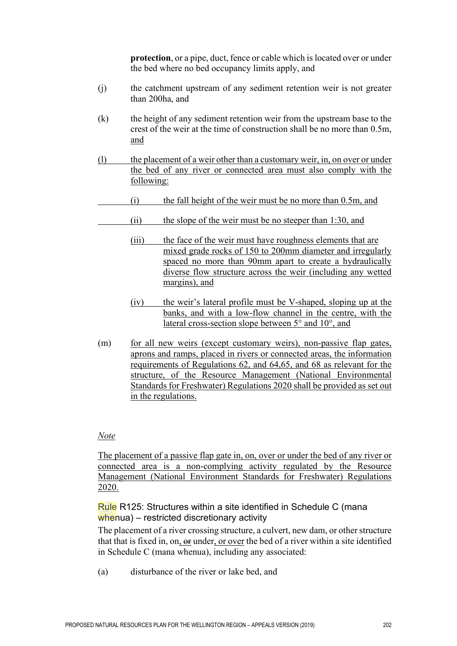**protection**, or a pipe, duct, fence or cable which is located over or under the bed where no bed occupancy limits apply, and

- (j) the catchment upstream of any sediment retention weir is not greater than 200ha, and
- (k) the height of any sediment retention weir from the upstream base to the crest of the weir at the time of construction shall be no more than 0.5m, and
- (l) the placement of a weir other than a customary weir, in, on over or under the bed of any river or connected area must also comply with the following:
- (i) the fall height of the weir must be no more than 0.5m, and
- (ii) the slope of the weir must be no steeper than 1:30, and
	- (iii) the face of the weir must have roughness elements that are mixed grade rocks of 150 to 200mm diameter and irregularly spaced no more than 90mm apart to create a hydraulically diverse flow structure across the weir (including any wetted margins), and
	- (iv) the weir's lateral profile must be V-shaped, sloping up at the banks, and with a low-flow channel in the centre, with the lateral cross-section slope between 5° and 10°, and
- (m) for all new weirs (except customary weirs), non-passive flap gates, aprons and ramps, placed in rivers or connected areas, the information requirements of Regulations 62, and 64,65, and 68 as relevant for the structure, of the Resource Management (National Environmental Standards for Freshwater) Regulations 2020 shall be provided as set out in the regulations.

#### *Note*

The placement of a passive flap gate in, on, over or under the bed of any river or connected area is a non-complying activity regulated by the Resource Management (National Environment Standards for Freshwater) Regulations 2020.

#### Rule R125: Structures within a site identified in Schedule C (mana whenua) – restricted discretionary activity

The placement of a river crossing structure, a culvert, new dam, or other structure that that is fixed in, on, or under, or over the bed of a river within a site identified in Schedule C (mana whenua), including any associated:

(a) disturbance of the river or lake bed, and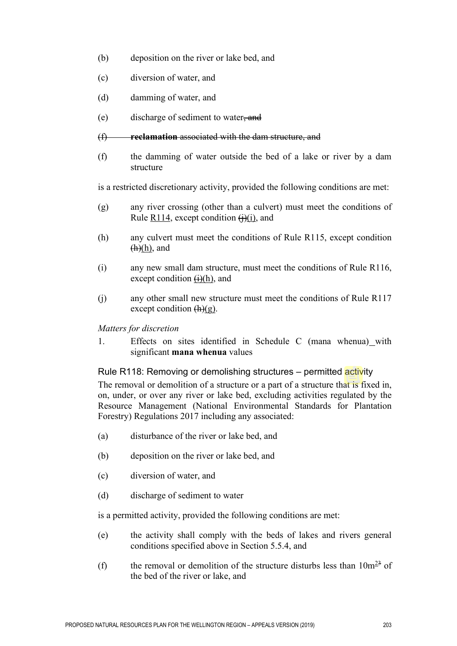- (b) deposition on the river or lake bed, and
- (c) diversion of water, and
- (d) damming of water, and
- (e) discharge of sediment to water, and
- (f) **reclamation** associated with the dam structure, and
- (f) the damming of water outside the bed of a lake or river by a dam structure

is a restricted discretionary activity, provided the following conditions are met:

- (g) any river crossing (other than a culvert) must meet the conditions of Rule R114, except condition  $\Theta$ (i), and
- (h) any culvert must meet the conditions of Rule R115, except condition  $(h)(h)$ , and
- (i) any new small dam structure, must meet the conditions of Rule R116, except condition  $\overrightarrow{(i)}$ (h), and
- (j) any other small new structure must meet the conditions of Rule R117 except condition  $(h)(g)$ .

#### *Matters for discretion*

1. Effects on sites identified in Schedule C (mana whenua) with significant **mana whenua** values

#### Rule R118: Removing or demolishing structures – permitted activity

The removal or demolition of a structure or a part of a structure that is fixed in, on, under, or over any river or lake bed, excluding activities regulated by the Resource Management (National Environmental Standards for Plantation Forestry) Regulations 2017 including any associated:

- (a) disturbance of the river or lake bed, and
- (b) deposition on the river or lake bed, and
- (c) diversion of water, and
- (d) discharge of sediment to water

- (e) the activity shall comply with the beds of lakes and rivers general conditions specified above in Section 5.5.4, and
- (f) the removal or demolition of the structure disturbs less than  $10m^{23}$  of the bed of the river or lake, and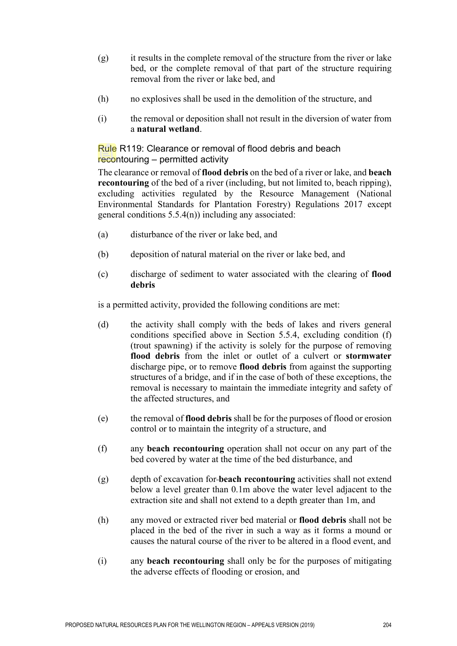- (g) it results in the complete removal of the structure from the river or lake bed, or the complete removal of that part of the structure requiring removal from the river or lake bed, and
- (h) no explosives shall be used in the demolition of the structure, and
- (i) the removal or deposition shall not result in the diversion of water from a **natural wetland**.

Rule R119: Clearance or removal of flood debris and beach recontouring – permitted activity

The clearance or removal of **flood debris** on the bed of a river or lake, and **beach recontouring** of the bed of a river (including, but not limited to, beach ripping), excluding activities regulated by the Resource Management (National Environmental Standards for Plantation Forestry) Regulations 2017 except general conditions 5.5.4(n)) including any associated:

- (a) disturbance of the river or lake bed, and
- (b) deposition of natural material on the river or lake bed, and
- (c) discharge of sediment to water associated with the clearing of **flood debris**

- (d) the activity shall comply with the beds of lakes and rivers general conditions specified above in Section 5.5.4, excluding condition (f) (trout spawning) if the activity is solely for the purpose of removing **flood debris** from the inlet or outlet of a culvert or **stormwater** discharge pipe, or to remove **flood debris** from against the supporting structures of a bridge, and if in the case of both of these exceptions, the removal is necessary to maintain the immediate integrity and safety of the affected structures, and
- (e) the removal of **flood debris** shall be for the purposes of flood or erosion control or to maintain the integrity of a structure, and
- (f) any **beach recontouring** operation shall not occur on any part of the bed covered by water at the time of the bed disturbance, and
- (g) depth of excavation for **beach recontouring** activities shall not extend below a level greater than 0.1m above the water level adjacent to the extraction site and shall not extend to a depth greater than 1m, and
- (h) any moved or extracted river bed material or **flood debris** shall not be placed in the bed of the river in such a way as it forms a mound or causes the natural course of the river to be altered in a flood event, and
- (i) any **beach recontouring** shall only be for the purposes of mitigating the adverse effects of flooding or erosion, and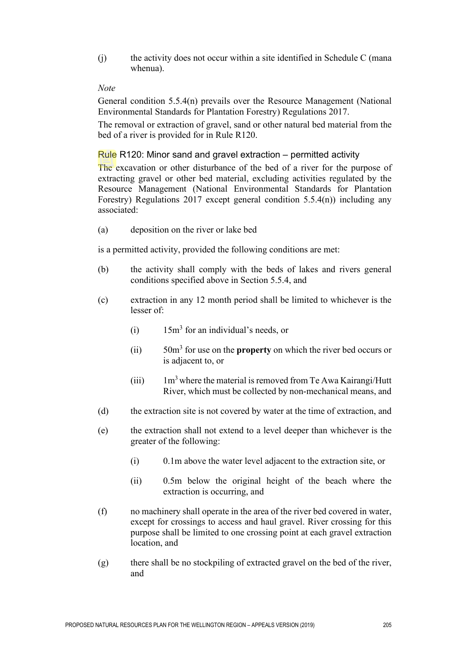(j) the activity does not occur within a site identified in Schedule C (mana whenua).

## *Note*

General condition 5.5.4(n) prevails over the Resource Management (National Environmental Standards for Plantation Forestry) Regulations 2017.

The removal or extraction of gravel, sand or other natural bed material from the bed of a river is provided for in Rule R120.

## Rule R120: Minor sand and gravel extraction – permitted activity

The excavation or other disturbance of the bed of a river for the purpose of extracting gravel or other bed material, excluding activities regulated by the Resource Management (National Environmental Standards for Plantation Forestry) Regulations 2017 except general condition 5.5.4(n)) including any associated:

(a) deposition on the river or lake bed

- (b) the activity shall comply with the beds of lakes and rivers general conditions specified above in Section 5.5.4, and
- (c) extraction in any 12 month period shall be limited to whichever is the lesser of:
	- (i)  $15m<sup>3</sup>$  for an individual's needs, or
	- (ii) 50m<sup>3</sup> for use on the **property** on which the river bed occurs or is adjacent to, or
	- (iii)  $1m<sup>3</sup>$  where the material is removed from Te Awa Kairangi/Hutt River, which must be collected by non-mechanical means, and
- (d) the extraction site is not covered by water at the time of extraction, and
- (e) the extraction shall not extend to a level deeper than whichever is the greater of the following:
	- (i) 0.1m above the water level adjacent to the extraction site, or
	- (ii) 0.5m below the original height of the beach where the extraction is occurring, and
- (f) no machinery shall operate in the area of the river bed covered in water, except for crossings to access and haul gravel. River crossing for this purpose shall be limited to one crossing point at each gravel extraction location, and
- (g) there shall be no stockpiling of extracted gravel on the bed of the river, and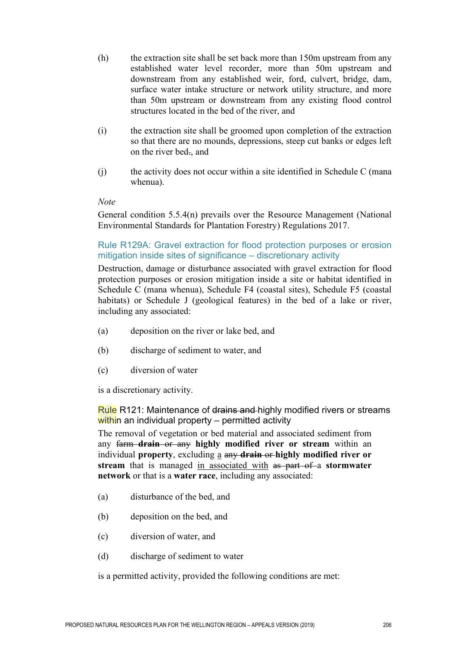- (h) the extraction site shall be set back more than 150m upstream from any established water level recorder, more than 50m upstream and downstream from any established weir, ford, culvert, bridge, dam, surface water intake structure or network utility structure, and more than 50m upstream or downstream from any existing flood control structures located in the bed of the river, and
- (i) the extraction site shall be groomed upon completion of the extraction so that there are no mounds, depressions, steep cut banks or edges left on the river bed., and
- (j) the activity does not occur within a site identified in Schedule C (mana whenua).

#### *Note*

General condition 5.5.4(n) prevails over the Resource Management (National Environmental Standards for Plantation Forestry) Regulations 2017.

# Rule R129A: Gravel extraction for flood protection purposes or erosion mitigation inside sites of significance – discretionary activity

Destruction, damage or disturbance associated with gravel extraction for flood protection purposes or erosion mitigation inside a site or habitat identified in Schedule C (mana whenua), Schedule F4 (coastal sites), Schedule F5 (coastal habitats) or Schedule J (geological features) in the bed of a lake or river, including any associated:

- (a) deposition on the river or lake bed, and
- (b) discharge of sediment to water, and
- (c) diversion of water

is a discretionary activity.

Rule R121: Maintenance of drains and highly modified rivers or streams within an individual property – permitted activity

The removal of vegetation or bed material and associated sediment from any farm **drain** or any **highly modified river or stream** within an individual **property**, excluding a any **drain** or **highly modified river or stream** that is managed in associated with as part of a **stormwater network** or that is a **water race**, including any associated:

- (a) disturbance of the bed, and
- (b) deposition on the bed, and
- (c) diversion of water, and
- (d) discharge of sediment to water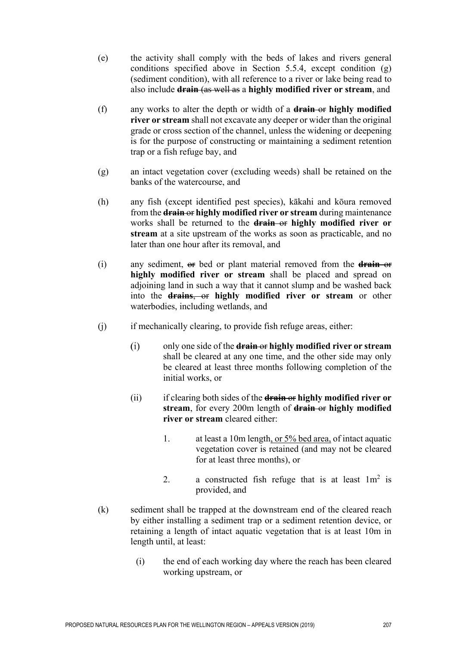- (e) the activity shall comply with the beds of lakes and rivers general conditions specified above in Section 5.5.4, except condition (g) (sediment condition), with all reference to a river or lake being read to also include **drain** (as well as a **highly modified river or stream**, and
- (f) any works to alter the depth or width of a **drain** or **highly modified river or stream** shall not excavate any deeper or wider than the original grade or cross section of the channel, unless the widening or deepening is for the purpose of constructing or maintaining a sediment retention trap or a fish refuge bay, and
- (g) an intact vegetation cover (excluding weeds) shall be retained on the banks of the watercourse, and
- (h) any fish (except identified pest species), kākahi and kōura removed from the **drain** or **highly modified river or stream** during maintenance works shall be returned to the **drain** or **highly modified river or stream** at a site upstream of the works as soon as practicable, and no later than one hour after its removal, and
- (i) any sediment, or bed or plant material removed from the **drain** or **highly modified river or stream** shall be placed and spread on adjoining land in such a way that it cannot slump and be washed back into the **drains**, or **highly modified river or stream** or other waterbodies, including wetlands, and
- (j) if mechanically clearing, to provide fish refuge areas, either:
	- only one side of the **drain** or **highly modified river or stream**   $(i)$ shall be cleared at any one time, and the other side may only be cleared at least three months following completion of the initial works, or
	- (ii) if clearing both sides of the **drain** or **highly modified river or stream**, for every 200m length of **drain** or **highly modified river or stream** cleared either:
		- 1. at least a 10m length, or 5% bed area, of intact aquatic vegetation cover is retained (and may not be cleared for at least three months), or
		- 2. a constructed fish refuge that is at least  $1m^2$  is provided, and
- (k) sediment shall be trapped at the downstream end of the cleared reach by either installing a sediment trap or a sediment retention device, or retaining a length of intact aquatic vegetation that is at least 10m in length until, at least:
	- (i) the end of each working day where the reach has been cleared working upstream, or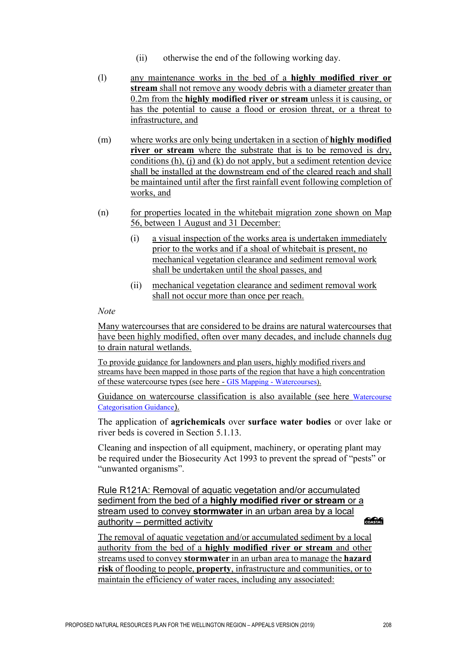- (ii) otherwise the end of the following working day.
- (l) any maintenance works in the bed of a **highly modified river or stream** shall not remove any woody debris with a diameter greater than 0.2m from the **highly modified river or stream** unless it is causing, or has the potential to cause a flood or erosion threat, or a threat to infrastructure, and
- (m) where works are only being undertaken in a section of **highly modified river or stream** where the substrate that is to be removed is dry, conditions (h), (j) and (k) do not apply, but a sediment retention device shall be installed at the downstream end of the cleared reach and shall be maintained until after the first rainfall event following completion of works, and
- (n) for properties located in the whitebait migration zone shown on Map 56, between 1 August and 31 December:
	- (i) a visual inspection of the works area is undertaken immediately prior to the works and if a shoal of whitebait is present, no mechanical vegetation clearance and sediment removal work shall be undertaken until the shoal passes, and
	- (ii) mechanical vegetation clearance and sediment removal work shall not occur more than once per reach.

#### *Note*

Many watercourses that are considered to be drains are natural watercourses that have been highly modified, often over many decades, and include channels dug to drain natural wetlands.

To provide guidance for landowners and plan users, highly modified rivers and streams have been mapped in those parts of the region that have a high concentration of these watercourse types (see here - [GIS Mapping - Watercourses\)](http://gwrc.maps.arcgis.com/apps/webappviewer/index.html?id=87a85d0ad2a3493fbeccb789eac79773).

Guidance on watercourse classification is also available (see here [Watercourse](http://www.gw.govt.nz/good-management-practice/)  [Categorisation Guidance\)](http://www.gw.govt.nz/good-management-practice/).

The application of **agrichemicals** over **surface water bodies** or over lake or river beds is covered in Section 5.1.13.

Cleaning and inspection of all equipment, machinery, or operating plant may be required under the Biosecurity Act 1993 to prevent the spread of "pests" or "unwanted organisms".

Rule R121A: Removal of aquatic vegetation and/or accumulated sediment from the bed of a **highly modified river or stream** or a stream used to convey **stormwater** in an urban area by a local COASTAT authority – permitted activity

The removal of aquatic vegetation and/or accumulated sediment by a local authority from the bed of a **highly modified river or stream** and other streams used to convey **stormwater** in an urban area to manage the **hazard risk** of flooding to people, **property**, infrastructure and communities, or to maintain the efficiency of water races, including any associated: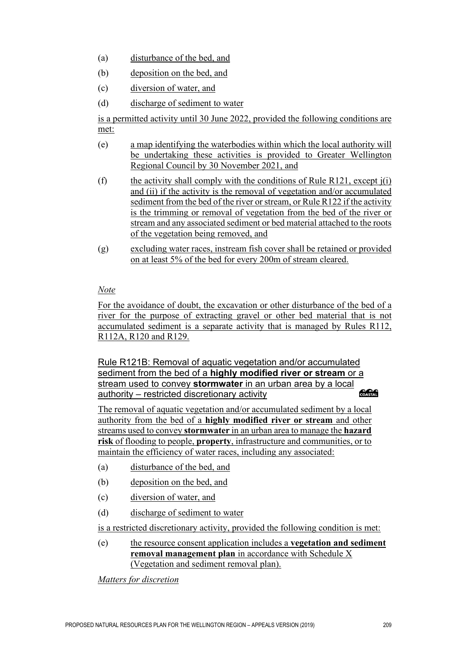- (a) disturbance of the bed, and
- (b) deposition on the bed, and
- (c) diversion of water, and
- (d) discharge of sediment to water

is a permitted activity until 30 June 2022, provided the following conditions are met:

- (e) a map identifying the waterbodies within which the local authority will be undertaking these activities is provided to Greater Wellington Regional Council by 30 November 2021, and
- (f) the activity shall comply with the conditions of Rule R121, except  $i(i)$ and (ii) if the activity is the removal of vegetation and/or accumulated sediment from the bed of the river or stream, or Rule R122 if the activity is the trimming or removal of vegetation from the bed of the river or stream and any associated sediment or bed material attached to the roots of the vegetation being removed, and
- (g) excluding water races, instream fish cover shall be retained or provided on at least 5% of the bed for every 200m of stream cleared.

# *Note*

For the avoidance of doubt, the excavation or other disturbance of the bed of a river for the purpose of extracting gravel or other bed material that is not accumulated sediment is a separate activity that is managed by Rules R112, R112A, R120 and R129.

Rule R121B: Removal of aquatic vegetation and/or accumulated sediment from the bed of a **highly modified river or stream** or a stream used to convey **stormwater** in an urban area by a local **CACA** authority – restricted discretionary activity

The removal of aquatic vegetation and/or accumulated sediment by a local authority from the bed of a **highly modified river or stream** and other streams used to convey **stormwater** in an urban area to manage the **hazard risk** of flooding to people, **property**, infrastructure and communities, or to maintain the efficiency of water races, including any associated:

- (a) disturbance of the bed, and
- (b) deposition on the bed, and
- (c) diversion of water, and
- (d) discharge of sediment to water

is a restricted discretionary activity, provided the following condition is met:

(e) the resource consent application includes a **vegetation and sediment removal management plan** in accordance with Schedule X (Vegetation and sediment removal plan).

*Matters for discretion*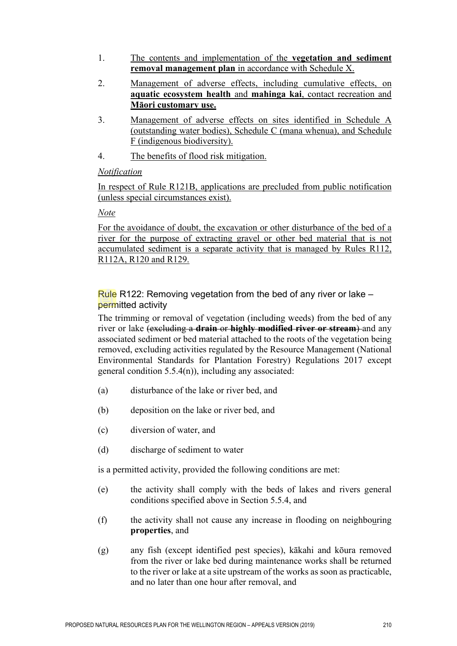- 1. The contents and implementation of the **vegetation and sediment removal management plan** in accordance with Schedule X.
- 2. Management of adverse effects, including cumulative effects, on **aquatic ecosystem health** and **mahinga kai**, contact recreation and **Māori customary use.**
- 3. Management of adverse effects on sites identified in Schedule A (outstanding water bodies), Schedule C (mana whenua), and Schedule F (indigenous biodiversity).
- 4. The benefits of flood risk mitigation.

# *Notification*

In respect of Rule R121B, applications are precluded from public notification (unless special circumstances exist).

# *Note*

For the avoidance of doubt, the excavation or other disturbance of the bed of a river for the purpose of extracting gravel or other bed material that is not accumulated sediment is a separate activity that is managed by Rules R112, R112A, R120 and R129.

Rule R122: Removing vegetation from the bed of any river or lake – permitted activity

The trimming or removal of vegetation (including weeds) from the bed of any river or lake (excluding a **drain** or **highly modified river or stream**) and any associated sediment or bed material attached to the roots of the vegetation being removed, excluding activities regulated by the Resource Management (National Environmental Standards for Plantation Forestry) Regulations 2017 except general condition  $5.5.4(n)$ , including any associated:

- (a) disturbance of the lake or river bed, and
- (b) deposition on the lake or river bed, and
- (c) diversion of water, and
- (d) discharge of sediment to water

- (e) the activity shall comply with the beds of lakes and rivers general conditions specified above in Section 5.5.4, and
- (f) the activity shall not cause any increase in flooding on neighbouring **properties**, and
- (g) any fish (except identified pest species), kākahi and kōura removed from the river or lake bed during maintenance works shall be returned to the river or lake at a site upstream of the works as soon as practicable, and no later than one hour after removal, and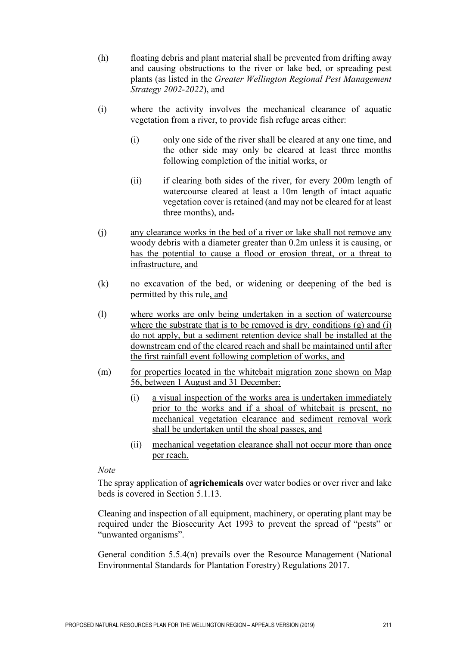- (h) floating debris and plant material shall be prevented from drifting away and causing obstructions to the river or lake bed, or spreading pest plants (as listed in the *Greater Wellington Regional Pest Management Strategy 2002-2022*), and
- (i) where the activity involves the mechanical clearance of aquatic vegetation from a river, to provide fish refuge areas either:
	- (i) only one side of the river shall be cleared at any one time, and the other side may only be cleared at least three months following completion of the initial works, or
	- (ii) if clearing both sides of the river, for every 200m length of watercourse cleared at least a 10m length of intact aquatic vegetation cover is retained (and may not be cleared for at least three months), and.
- (j) any clearance works in the bed of a river or lake shall not remove any woody debris with a diameter greater than 0.2m unless it is causing, or has the potential to cause a flood or erosion threat, or a threat to infrastructure, and
- (k) no excavation of the bed, or widening or deepening of the bed is permitted by this rule, and
- (l) where works are only being undertaken in a section of watercourse where the substrate that is to be removed is dry, conditions (g) and (i) do not apply, but a sediment retention device shall be installed at the downstream end of the cleared reach and shall be maintained until after the first rainfall event following completion of works, and
- (m) for properties located in the whitebait migration zone shown on Map 56, between 1 August and 31 December:
	- (i) a visual inspection of the works area is undertaken immediately prior to the works and if a shoal of whitebait is present, no mechanical vegetation clearance and sediment removal work shall be undertaken until the shoal passes, and
	- (ii) mechanical vegetation clearance shall not occur more than once per reach.

#### *Note*

The spray application of **agrichemicals** over water bodies or over river and lake beds is covered in Section 5.1.13.

Cleaning and inspection of all equipment, machinery, or operating plant may be required under the Biosecurity Act 1993 to prevent the spread of "pests" or "unwanted organisms".

General condition 5.5.4(n) prevails over the Resource Management (National Environmental Standards for Plantation Forestry) Regulations 2017.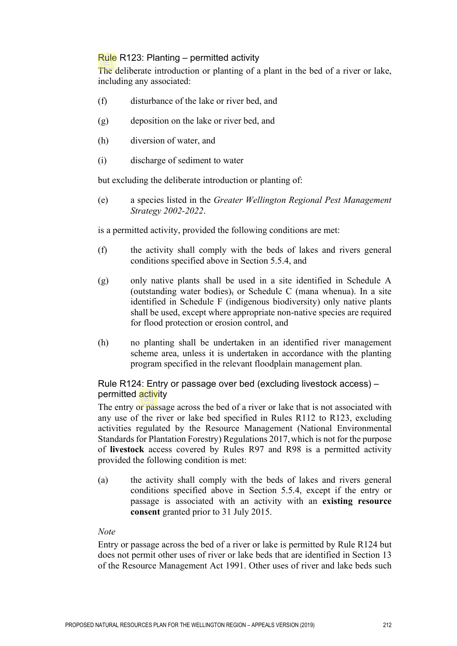# Rule R123: Planting – permitted activity

The deliberate introduction or planting of a plant in the bed of a river or lake, including any associated:

- (f) disturbance of the lake or river bed, and
- (g) deposition on the lake or river bed, and
- (h) diversion of water, and
- (i) discharge of sediment to water

but excluding the deliberate introduction or planting of:

(e) a species listed in the *Greater Wellington Regional Pest Management Strategy 2002-2022*.

is a permitted activity, provided the following conditions are met:

- (f) the activity shall comply with the beds of lakes and rivers general conditions specified above in Section 5.5.4, and
- (g) only native plants shall be used in a site identified in Schedule A (outstanding water bodies), or Schedule C (mana whenua). In a site identified in Schedule F (indigenous biodiversity) only native plants shall be used, except where appropriate non-native species are required for flood protection or erosion control, and
- (h) no planting shall be undertaken in an identified river management scheme area, unless it is undertaken in accordance with the planting program specified in the relevant floodplain management plan.

# Rule R124: Entry or passage over bed (excluding livestock access) – permitted activity

The entry or passage across the bed of a river or lake that is not associated with any use of the river or lake bed specified in Rules R112 to R123, excluding activities regulated by the Resource Management (National Environmental Standards for Plantation Forestry) Regulations 2017,which is not for the purpose of **livestock** access covered by Rules R97 and R98 is a permitted activity provided the following condition is met:

(a) the activity shall comply with the beds of lakes and rivers general conditions specified above in Section 5.5.4, except if the entry or passage is associated with an activity with an **existing resource consent** granted prior to 31 July 2015.

#### *Note*

Entry or passage across the bed of a river or lake is permitted by Rule R124 but does not permit other uses of river or lake beds that are identified in Section 13 of the Resource Management Act 1991. Other uses of river and lake beds such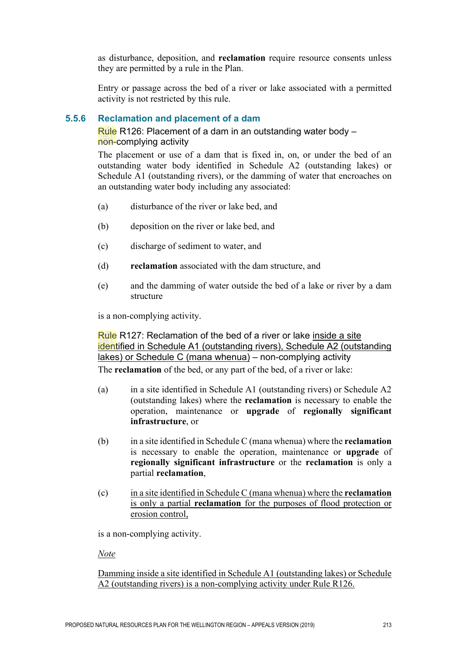as disturbance, deposition, and **reclamation** require resource consents unless they are permitted by a rule in the Plan.

Entry or passage across the bed of a river or lake associated with a permitted activity is not restricted by this rule.

# **5.5.6 Reclamation and placement of a dam**

Rule R126: Placement of a dam in an outstanding water body – non-complying activity

The placement or use of a dam that is fixed in, on, or under the bed of an outstanding water body identified in Schedule A2 (outstanding lakes) or Schedule A1 (outstanding rivers), or the damming of water that encroaches on an outstanding water body including any associated:

- (a) disturbance of the river or lake bed, and
- (b) deposition on the river or lake bed, and
- (c) discharge of sediment to water, and
- (d) **reclamation** associated with the dam structure, and
- (e) and the damming of water outside the bed of a lake or river by a dam structure

is a non-complying activity.

Rule R127: Reclamation of the bed of a river or lake inside a site identified in Schedule A1 (outstanding rivers), Schedule A2 (outstanding lakes) or Schedule C (mana whenua) – non-complying activity The **reclamation** of the bed, or any part of the bed, of a river or lake:

- (a) in a site identified in Schedule A1 (outstanding rivers) or Schedule A2 (outstanding lakes) where the **reclamation** is necessary to enable the operation, maintenance or **upgrade** of **regionally significant infrastructure**, or
- (b) in a site identified in Schedule C (mana whenua) where the **reclamation** is necessary to enable the operation, maintenance or **upgrade** of **regionally significant infrastructure** or the **reclamation** is only a partial **reclamation**,
- (c) in a site identified in Schedule C (mana whenua) where the **reclamation** is only a partial **reclamation** for the purposes of flood protection or erosion control,

is a non-complying activity.

*Note*

Damming inside a site identified in Schedule A1 (outstanding lakes) or Schedule A2 (outstanding rivers) is a non-complying activity under Rule R126.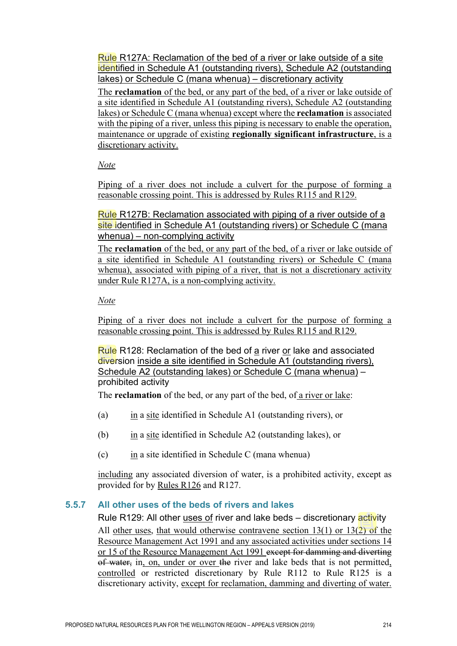Rule R127A: Reclamation of the bed of a river or lake outside of a site identified in Schedule A1 (outstanding rivers), Schedule A2 (outstanding lakes) or Schedule C (mana whenua) – discretionary activity

The **reclamation** of the bed, or any part of the bed, of a river or lake outside of a site identified in Schedule A1 (outstanding rivers), Schedule A2 (outstanding lakes) or Schedule C (mana whenua) except where the **reclamation** is associated with the piping of a river, unless this piping is necessary to enable the operation, maintenance or upgrade of existing **regionally significant infrastructure**, is a discretionary activity.

*Note*

Piping of a river does not include a culvert for the purpose of forming a reasonable crossing point. This is addressed by Rules R115 and R129.

Rule R127B: Reclamation associated with piping of a river outside of a site identified in Schedule A1 (outstanding rivers) or Schedule C (mana whenua) – non-complying activity

The **reclamation** of the bed, or any part of the bed, of a river or lake outside of a site identified in Schedule A1 (outstanding rivers) or Schedule C (mana whenua), associated with piping of a river, that is not a discretionary activity under Rule R127A, is a non-complying activity.

*Note*

Piping of a river does not include a culvert for the purpose of forming a reasonable crossing point. This is addressed by Rules R115 and R129.

Rule R128: Reclamation of the bed of a river or lake and associated diversion inside a site identified in Schedule A1 (outstanding rivers), Schedule A2 (outstanding lakes) or Schedule C (mana whenua) – prohibited activity

The **reclamation** of the bed, or any part of the bed, of a river or lake:

- (a) in a site identified in Schedule A1 (outstanding rivers), or
- (b) in a site identified in Schedule A2 (outstanding lakes), or
- (c) in a site identified in Schedule C (mana whenua)

including any associated diversion of water, is a prohibited activity, except as provided for by Rules R126 and R127.

# **5.5.7 All other uses of the beds of rivers and lakes**

Rule R129: All other uses of river and lake beds – discretionary activity

All other uses, that would otherwise contravene section  $13(1)$  or  $13(2)$  of the Resource Management Act 1991 and any associated activities under sections 14 or 15 of the Resource Management Act 1991 except for damming and diverting of water, in, on, under or over the river and lake beds that is not permitted, controlled or restricted discretionary by Rule R112 to Rule R125 is a discretionary activity, except for reclamation, damming and diverting of water.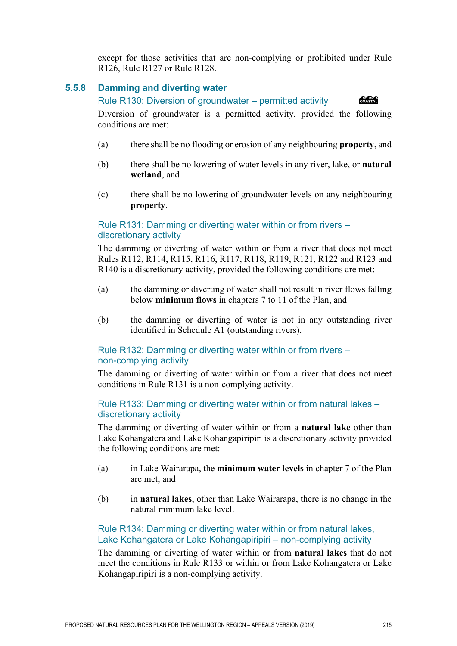except for those activities that are non-complying or prohibited under Rule R126, Rule R127 or Rule R128.

# **5.5.8 Damming and diverting water**

#### Rule R130: Diversion of groundwater – permitted activity

COASTAL

Diversion of groundwater is a permitted activity, provided the following conditions are met:

- (a) there shall be no flooding or erosion of any neighbouring **property**, and
- (b) there shall be no lowering of water levels in any river, lake, or **natural wetland**, and
- (c) there shall be no lowering of groundwater levels on any neighbouring **property**.

# Rule R131: Damming or diverting water within or from rivers – discretionary activity

The damming or diverting of water within or from a river that does not meet Rules R112, R114, R115, R116, R117, R118, R119, R121, R122 and R123 and R140 is a discretionary activity, provided the following conditions are met:

- (a) the damming or diverting of water shall not result in river flows falling below **minimum flows** in chapters 7 to 11 of the Plan, and
- (b) the damming or diverting of water is not in any outstanding river identified in Schedule A1 (outstanding rivers).

# Rule R132: Damming or diverting water within or from rivers – non-complying activity

The damming or diverting of water within or from a river that does not meet conditions in Rule R131 is a non-complying activity.

## Rule R133: Damming or diverting water within or from natural lakes – discretionary activity

The damming or diverting of water within or from a **natural lake** other than Lake Kohangatera and Lake Kohangapiripiri is a discretionary activity provided the following conditions are met:

- (a) in Lake Wairarapa, the **minimum water levels** in chapter 7 of the Plan are met, and
- (b) in **natural lakes**, other than Lake Wairarapa, there is no change in the natural minimum lake level.

# Rule R134: Damming or diverting water within or from natural lakes, Lake Kohangatera or Lake Kohangapiripiri – non-complying activity

The damming or diverting of water within or from **natural lakes** that do not meet the conditions in Rule R133 or within or from Lake Kohangatera or Lake Kohangapiripiri is a non-complying activity.